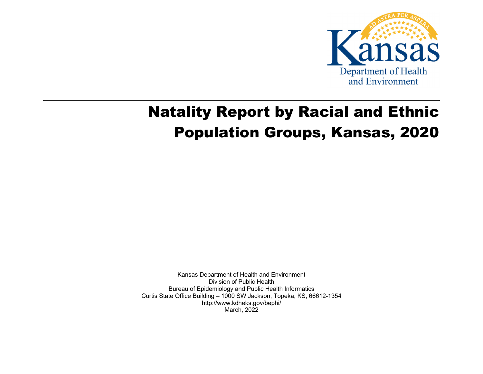

# Natality Report by Racial and Ethnic Population Groups, Kansas, 2020

Kansas Department of Health and Environment Division of Public Health Bureau of Epidemiology and Public Health Informatics Curtis State Office Building – 1000 SW Jackson, Topeka, KS, 66612-1354 http://www.kdheks.gov/bephi/ March, 2022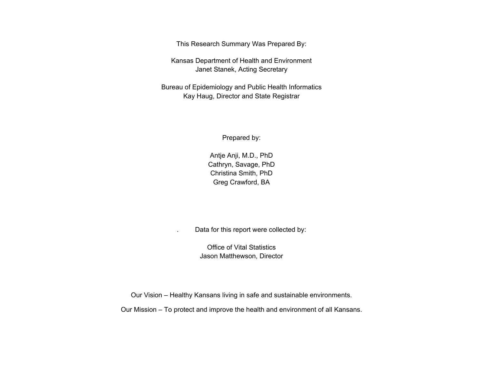This Research Summary Was Prepared By:

Kansas Department of Health and Environment Janet Stanek, Acting Secretary

Bureau of Epidemiology and Public Health Informatics Kay Haug, Director and State Registrar

Prepared by:

Antje Anji, M.D., PhD Cathryn, Savage, PhD Christina Smith, PhD Greg Crawford, BA

. Data for this report were collected by:

Office of Vital Statistics Jason Matthewson, Director

Our Vision – Healthy Kansans living in safe and sustainable environments.

Our Mission – To protect and improve the health and environment of all Kansans.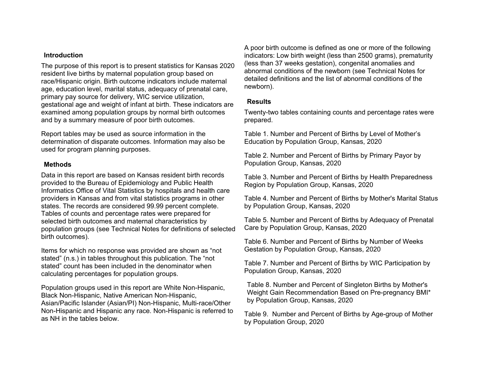#### **Introduction**

The purpose of this report is to present statistics for Kansas 2020 resident live births by maternal population group based on race/Hispanic origin. Birth outcome indicators include maternal age, education level, marital status, adequacy of prenatal care, primary pay source for delivery, WIC service utilization, gestational age and weight of infant at birth. These indicators are examined among population groups by normal birth outcomes and by a summary measure of poor birth outcomes.

Report tables may be used as source information in the determination of disparate outcomes. Information may also be used for program planning purposes.

#### **Methods**

Data in this report are based on Kansas resident birth records provided to the Bureau of Epidemiology and Public Health Informatics Office of Vital Statistics by hospitals and health care providers in Kansas and from vital statistics programs in other states. The records are considered 99.99 percent complete. Tables of counts and percentage rates were prepared for selected birth outcomes and maternal characteristics by population groups (see Technical Notes for definitions of selected birth outcomes).

Items for which no response was provided are shown as "not stated" (n.s.) in tables throughout this publication. The "not stated" count has been included in the denominator when calculating percentages for population groups.

Population groups used in this report are White Non-Hispanic, Black Non-Hispanic, Native American Non-Hispanic, Asian/Pacific Islander (Asian/PI) Non-Hispanic, Multi-race/Other Non-Hispanic and Hispanic any race. Non-Hispanic is referred to as NH in the tables below.

A poor birth outcome is defined as one or more of the following indicators: Low birth weight (less than 2500 grams), prematurity (less than 37 weeks gestation), congenital anomalies and abnormal conditions of the newborn (see Technical Notes for detailed definitions and the list of abnormal conditions of the newborn).

#### **Results**

Twenty-two tables containing counts and percentage rates were prepared.

Table 1. Number and Percent of Births by Level of Mother's Education by Population Group, Kansas, 2020

Table 2. Number and Percent of Births by Primary Payor by Population Group, Kansas, 2020

Table 3. Number and Percent of Births by Health Preparedness Region by Population Group, Kansas, 2020

Table 4. Number and Percent of Births by Mother's Marital Status by Population Group, Kansas, 2020

Table 5. Number and Percent of Births by Adequacy of Prenatal Care by Population Group, Kansas, 2020

Table 6. Number and Percent of Births by Number of Weeks Gestation by Population Group, Kansas, 2020

Table 7. Number and Percent of Births by WIC Participation by Population Group, Kansas, 2020

Table 8. Number and Percent of Singleton Births by Mother's Weight Gain Recommendation Based on Pre-pregnancy BMI\* by Population Group, Kansas, 2020

Table 9. Number and Percent of Births by Age-group of Mother by Population Group, 2020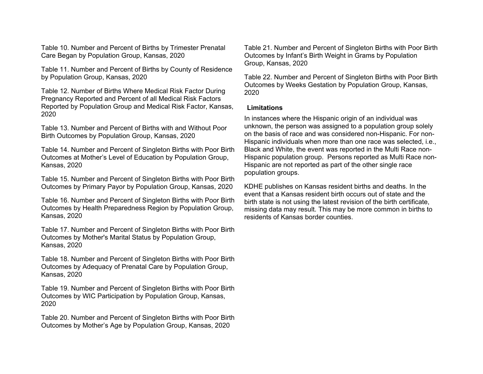Table 10. Number and Percent of Births by Trimester Prenatal Care Began by Population Group, Kansas, 2020

Table 11. Number and Percent of Births by County of Residence by Population Group, Kansas, 2020

Table 12. Number of Births Where Medical Risk Factor During Pregnancy Reported and Percent of all Medical Risk Factors Reported by Population Group and Medical Risk Factor, Kansas, 2020

Table 13. Number and Percent of Births with and Without Poor Birth Outcomes by Population Group, Kansas, 2020

Table 14. Number and Percent of Singleton Births with Poor Birth Outcomes at Mother's Level of Education by Population Group, Kansas, 2020

Table 15. Number and Percent of Singleton Births with Poor Birth Outcomes by Primary Payor by Population Group, Kansas, 2020

Table 16. Number and Percent of Singleton Births with Poor Birth Outcomes by Health Preparedness Region by Population Group, Kansas, 2020

Table 17. Number and Percent of Singleton Births with Poor Birth Outcomes by Mother's Marital Status by Population Group, Kansas, 2020

Table 18. Number and Percent of Singleton Births with Poor Birth Outcomes by Adequacy of Prenatal Care by Population Group, Kansas, 2020

Table 19. Number and Percent of Singleton Births with Poor Birth Outcomes by WIC Participation by Population Group, Kansas, 2020

Table 20. Number and Percent of Singleton Births with Poor Birth Outcomes by Mother's Age by Population Group, Kansas, 2020

Table 21. Number and Percent of Singleton Births with Poor Birth Outcomes by Infant's Birth Weight in Grams by Population Group, Kansas, 2020

Table 22. Number and Percent of Singleton Births with Poor Birth Outcomes by Weeks Gestation by Population Group, Kansas, 2020

#### **Limitations**

In instances where the Hispanic origin of an individual was unknown, the person was assigned to a population group solely on the basis of race and was considered non-Hispanic. For non-Hispanic individuals when more than one race was selected, i.e., Black and White, the event was reported in the Multi Race non-Hispanic population group. Persons reported as Multi Race non-Hispanic are not reported as part of the other single race population groups.

KDHE publishes on Kansas resident births and deaths. In the event that a Kansas resident birth occurs out of state and the birth state is not using the latest revision of the birth certificate, missing data may result. This may be more common in births to residents of Kansas border counties.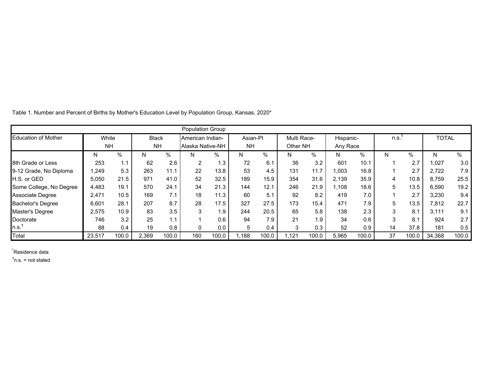|                            |           |       |              |       | <b>Population Group</b> |       |           |       |             |       |           |       |      |       |              |       |
|----------------------------|-----------|-------|--------------|-------|-------------------------|-------|-----------|-------|-------------|-------|-----------|-------|------|-------|--------------|-------|
| <b>Education of Mother</b> | White     |       | <b>Black</b> |       | American Indian-        |       | Asian-Pl  |       | Multi Race- |       | Hispanic- |       | n.s. |       | <b>TOTAL</b> |       |
|                            | <b>NH</b> |       | <b>NH</b>    |       | Alaska Native-NH        |       | <b>NH</b> |       | Other NH    |       | Any Race  |       |      |       |              |       |
|                            | N         | %     | N            | %     | N.                      | %     | N         | %     | N           | %     | N.        | %     | N    | %     | N            | %     |
| 8th Grade or Less          | 253       | 1.1   | 62           | 2.6   |                         | 1.3   | 72        | 6.1   | 36          | 3.2   | 601       | 10.1  |      | 2.7   | 1,027        | 3.0   |
| 9-12 Grade, No Diploma     | 1,249     | 5.3   | 263          | 11.1  | 22                      | 13.8  | 53        | 4.5   | 131         | 11.7  | 1,003     | 16.8  |      | 2.7   | 2,722        | 7.9   |
| <b>H.S. or GED</b>         | 5,050     | 21.5  | 971          | 41.0  | 52                      | 32.5  | 189       | 15.9  | 354         | 31.6  | 2,139     | 35.9  | 4    | 10.8  | 8,759        | 25.5  |
| Some College, No Degree    | 4,483     | 19.1  | 570          | 24.1  | 34                      | 21.3  | 144       | 12.1  | 246         | 21.9  | 1,108     | 18.6  | 5    | 13.5  | 6,590        | 19.2  |
| <b>Associate Degree</b>    | 2,471     | 10.5  | 169          | 7.1   | 18                      | 11.3  | 60        | 5.1   | 92          | 8.2   | 419       | 7.0   |      | 2.7   | 3,230        | 9.4   |
| <b>Bachelor's Degree</b>   | 6,601     | 28.1  | 207          | 8.7   | 28                      | 17.5  | 327       | 27.5  | 173         | 15.4  | 471       | 7.9   | 5    | 13.5  | 7,812        | 22.7  |
| Master's Degree            | 2.575     | 10.9  | 83           | 3.5   | 3                       | 1.9   | 244       | 20.5  | 65          | 5.8   | 138       | 2.3   | 3    | 8.1   | 3.111        | 9.1   |
| Doctorate                  | 746       | 3.2   | 25           | 1.1   |                         | 0.6   | 94        | 7.9   | 21          | 1.9   | 34        | 0.6   | 3    | 8.1   | 924          | 2.7   |
| n.s.'                      | 88        | 0.4   | 19           | 0.8   |                         | 0.0   | 5         | 0.4   | 3           | 0.3   | 52        | 0.9   | 14   | 37.8  | 181          | 0.5   |
| Total                      | 23,517    | 100.0 | 2.369        | 100.0 | 160                     | 100.0 | 1.188     | 100.0 | 1.121       | 100.0 | 5,965     | 100.0 | 37   | 100.0 | 34,368       | 100.0 |

Table 1. Number and Percent of Births by Mother's Education Level by Population Group, Kansas, 2020\*

\* Residence data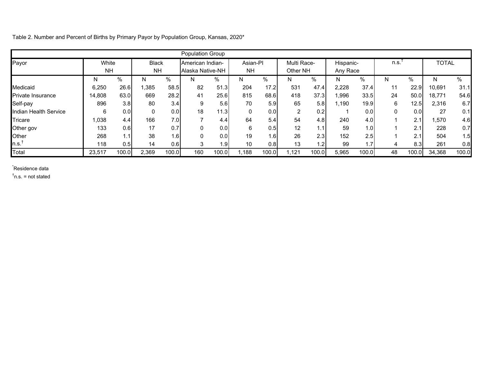Table 2. Number and Percent of Births by Primary Payor by Population Group, Kansas, 2020\*

|                          |           |       |              |       | Population Group |                  |           |       |             |       |           |       |             |       |              |       |
|--------------------------|-----------|-------|--------------|-------|------------------|------------------|-----------|-------|-------------|-------|-----------|-------|-------------|-------|--------------|-------|
| Payor                    | White     |       | <b>Black</b> |       | American Indian- |                  | Asian-Pl  |       | Multi Race- |       | Hispanic- |       | n.s.        |       | <b>TOTAL</b> |       |
|                          | <b>NH</b> |       | <b>NH</b>    |       | Alaska Native-NH |                  | <b>NH</b> |       | Other NH    |       | Any Race  |       |             |       |              |       |
|                          | N         | %     | N            | %     | N                | $\%$             | N         | $\%$  | N           | %     | N         | %     | N           | %     |              | $\%$  |
| Medicaid                 | 6,250     | 26.6  | ,385         | 58.5  | 82               | 51.3             | 204       | 17.2  | 531         | 47.4  | 2,228     | 37.4  | 11          | 22.9  | 10,691       | 31.1  |
| <b>Private Insurance</b> | 14,808    | 63.0  | 669          | 28.2  | 41               | 25.6             | 815       | 68.6  | 418         | 37.3  | 1,996     | 33.5  | 24          | 50.0  | 18,771       | 54.6  |
| Self-pay                 | 896       | 3.8   | 80           | 3.4   | 9                | 5.6              | 70        | 5.9   | 65          | 5.8   | 1,190     | 19.9  | 6           | 12.5  | 2,316        | 6.7   |
| Indian Health Service    | 6         | 0.0   |              | 0.0   | 18               | 11.3             |           | 0.0   | 2           | 0.2   |           | 0.0   | $\mathbf 0$ | 0.0   | 27           | 0.1   |
| Tricare                  | 0.038     | 4.4   | 166          | 7.0   |                  | 4.4              | 64        | 5.4   | 54          | 4.8   | 240       | 4.0   |             | 2.1   | ,570         | 4.6   |
| Other gov                | 133       | 0.6   | 17           | 0.7   | 0                | 0.0              | 6         | 0.5   | 12          | 1.1   | 59        | 1.0   |             | 2.1   | 228          | 0.7   |
| Other                    | 268       | 1.1   | 38           | 1.6I  | $\Omega$         | 0.0 <sub>l</sub> | 19        | 1.6   | 26          | 2.3   | 152       | 2.5   |             | 2.1   | 504          | 1.5   |
| n.s. <sup>†</sup>        | 118       | 0.5   | 14           | 0.6   | 3                | 1.9              | 10        | 0.8   | 13          | 1.2   | 99        | 1.7   | 4           | 8.3   | 261          | 0.8   |
| Total                    | 23,517    | 100.0 | 2,369        | 100.0 | 160              | 100.0            | ,188      | 100.0 | 1,121       | 100.0 | 5,965     | 100.0 | 48          | 100.0 | 34,368       | 100.0 |

\* Residence data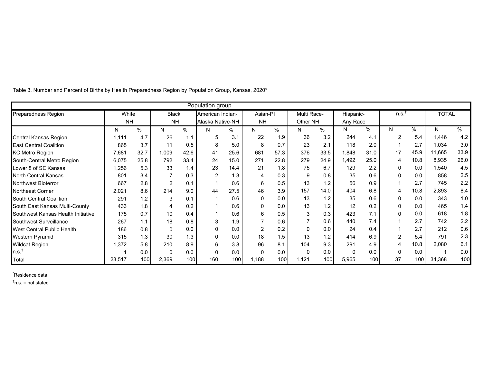|                                    |           |      |              |               | Population group |      |           |      |             |      |              |                  |              |      |              |            |
|------------------------------------|-----------|------|--------------|---------------|------------------|------|-----------|------|-------------|------|--------------|------------------|--------------|------|--------------|------------|
| <b>Preparedness Region</b>         | White     |      | <b>Black</b> |               | American Indian- |      | Asian-PI  |      | Multi Race- |      | Hispanic-    |                  | n.s.         |      | <b>TOTAL</b> |            |
|                                    | <b>NH</b> |      | <b>NH</b>    |               | Alaska Native-NH |      | <b>NH</b> |      | Other NH    |      | Any Race     |                  |              |      |              |            |
|                                    | N         | $\%$ | N            | $\frac{0}{0}$ | N                | %    | N         | %    | N           | %    | N            | %                | N            | %    | N            | $\sqrt{6}$ |
| Central Kansas Region              | 1,111     | 4.7  | 26           | 1.1           | 5                | 3.1  | 22        | 1.9  | 36          | 3.2  | 244          | 4.1              | 2            | 5.4  | 1,446        | 4.2        |
| <b>East Central Coalition</b>      | 865       | 3.7  | 11           | 0.5           | 8                | 5.0  | 8         | 0.7  | 23          | 2.1  | 118          | 2.0              |              | 2.7  | 1,034        | 3.0        |
| <b>KC Metro Region</b>             | 7,681     | 32.7 | 1,009        | 42.6          | 41               | 25.6 | 681       | 57.3 | 376         | 33.5 | 1,848        | 31.0             | 17           | 45.9 | 11,665       | 33.9       |
| South-Central Metro Region         | 6,075     | 25.8 | 792          | 33.4          | 24               | 15.0 | 271       | 22.8 | 279         | 24.9 | 1,492        | 25.0             | 4            | 10.8 | 8,935        | 26.0       |
| Lower 8 of SE Kansas               | ,256      | 5.3  | 33           | 1.4           | 23               | 14.4 | 21        | 1.8  | 75          | 6.7  | 129          | 2.2              | 0            | 0.0  | 1,540        | 4.5        |
| North Central Kansas               | 801       | 3.4  |              | 0.3           | 2                | 1.3  | 4         | 0.3  | 9           | 0.8  | 35           | 0.6              | 0            | 0.0  | 858          | 2.5        |
| <b>Northwest Bioterror</b>         | 667       | 2.8  | 2            | 0.1           |                  | 0.6  | 6         | 0.5  | 13          | 1.2  | 56           | 0.9              |              | 2.7  | 745          | 2.2        |
| <b>Northeast Corner</b>            | 2,021     | 8.6  | 214          | 9.0           | 44               | 27.5 | 46        | 3.9  | 157         | 14.0 | 404          | 6.8              | 4            | 10.8 | 2,893        | 8.4        |
| South Central Coalition            | 291       | 1.2  | 3            | 0.1           |                  | 0.6  | $\Omega$  | 0.0  | 13          | 1.2  | 35           | 0.6              | $\mathbf{0}$ | 0.0  | 343          | 1.0        |
| South East Kansas Multi-County     | 433       | 1.8  | 4            | 0.2           |                  | 0.6  | 0         | 0.0  | 13          | 1.2  | 12           | 0.2              | 0            | 0.0  | 465          | 1.4        |
| Southwest Kansas Health Initiative | 175       | 0.7  | 10           | 0.4           |                  | 0.6  | 6         | 0.5  | 3           | 0.3  | 423          | 7.1              | $\Omega$     | 0.0  | 618          | 1.8        |
| Southwest Surveillance             | 267       | 1.1  | 18           | 0.8           | 3                | 1.9  |           | 0.6  |             | 0.6  | 440          | 7.4              |              | 2.7  | 742          | 2.2        |
| <b>West Central Public Health</b>  | 186       | 0.8  | $\Omega$     | 0.0           |                  | 0.0  | 2         | 0.2  | $\Omega$    | 0.0  | 24           | 0.4              |              | 2.7  | 212          | 0.6        |
| Western Pyramid                    | 315       | 1.3  | 30           | 1.3           |                  | 0.0  | 18        | 1.5  | 13          | 1.2  | 414          | 6.9              | 2            | 5.4  | 791          | 2.3        |
| <b>Wildcat Region</b>              | 1,372     | 5.8  | 210          | 8.9           | 6                | 3.8  | 96        | 8.1  | 104         | 9.3  | 291          | 4.9              |              | 10.8 | 2,080        | 6.1        |
| n.s. <sup>T</sup>                  |           | 0.0  | $\mathbf{0}$ | 0.0           | 0                | 0.0  | 0         | 0.0  | 0           | 0.0  | $\mathbf{0}$ | 0.0              | 0            | 0.0  |              | 0.0        |
| Total                              | 23,517    | 100  | 2,369        | 100           | 160              | 100  | 1,188     | 100  | 1,121       | 100  | 5,965        | 100 <sup>1</sup> | 37           | 100  | 34,368       | 100        |

Table 3. Number and Percent of Births by Health Preparedness Region by Population Group, Kansas, 2020\*

\* Residence data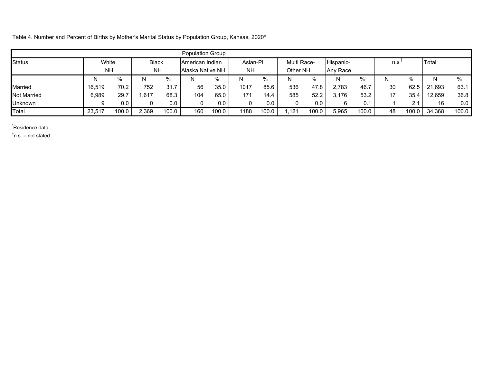Table 4. Number and Percent of Births by Mother's Marital Status by Population Group, Kansas, 2020\*

|                    |           |       |              |       | <b>Population Group</b> |       |           |       |             |       |           |       |     |       |        |       |
|--------------------|-----------|-------|--------------|-------|-------------------------|-------|-----------|-------|-------------|-------|-----------|-------|-----|-------|--------|-------|
| <b>Status</b>      | White     |       | <b>Black</b> |       | American Indian         |       | Asian-PI  |       | Multi Race- |       | Hispanic- |       | n.s |       | Total  |       |
|                    | <b>NH</b> |       | <b>NH</b>    |       | Alaska Native NH        |       | <b>NH</b> |       | Other NH    |       | Any Race  |       |     |       |        |       |
|                    | N         | $\%$  | <b>N</b>     | %     | N                       | %     | N         | $\%$  | N           | $\%$  | N         | %     | N   | $\%$  |        | $\%$  |
| <b>Married</b>     | 16,519    | 70.2  | 752          | 31.7  | 56                      | 35.0  | 1017      | 85.6  | 536         | 47.8  | 2,783     | 46.7  | 30  | 62.5  | 21.693 | 63.1  |
| <b>Not Married</b> | 6,989     | 29.7  | 617،         | 68.3  | 104                     | 65.0  | 171       | 14.4  | 585         | 52.2  | 3.176     | 53.2  | 17  | 35.4  | 12.659 | 36.8  |
| <b>Unknown</b>     |           | 0.0   |              | 0.0   |                         | 0.0   |           | 0.0   | 0           | 0.0   | 6         | 0.1   |     | 2.1   | 16     | 0.0   |
| Total              | 23,517    | 100.0 | 2.369        | 100.0 | 160                     | 100.0 | 1188      | 100.0 | .121        | 100.0 | 5,965     | 100.0 | 48  | 100.0 | 34,368 | 100.0 |

\* Residence data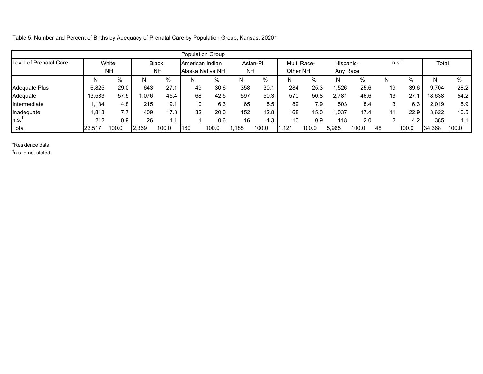Table 5. Number and Percent of Births by Adequacy of Prenatal Care by Population Group, Kansas, 2020\*

|                        |        |           |       |              |                 | Population Group |           |          |          |             |           |       |      |                  |        |       |
|------------------------|--------|-----------|-------|--------------|-----------------|------------------|-----------|----------|----------|-------------|-----------|-------|------|------------------|--------|-------|
| Level of Prenatal Care |        | White     |       | <b>Black</b> | American Indian |                  |           | Asian-PI |          | Multi Race- | Hispanic- |       | n.s. |                  | Total  |       |
|                        |        | <b>NH</b> |       | <b>NH</b>    |                 | Alaska Native NH | <b>NH</b> |          | Other NH |             | Any Race  |       |      |                  |        |       |
|                        | N      | $\%$      | N     | %            |                 | %                | N         | %        | N        | $\%$        | N         | %     | N    | $\%$             | N      | $\%$  |
| Adequate Plus          | 6.825  | 29.0      | 643   | 27.1         | 49              | 30.6             | 358       | 30.1     | 284      | 25.3        | ,526      | 25.6  | 19   | 39.6             | 9.704  | 28.2  |
| Adequate               | 13.533 | 57.5      | .076  | 45.4         | 68              | 42.5             | 597       | 50.3     | 570      | 50.8        | 2.781     | 46.6  | 13   | 27.7             | 18.638 | 54.2  |
| Intermediate           | ,134   | 4.8       | 215   | 9.1          | 10              | 6.3              | 65        | 5.5      | 89       | 7.9         | 503       | 8.4   | 3    | 6.3              | 2.019  | 5.9   |
| Inadequate             | 1,813  | 7.7       | 409   | 17.3         | 32              | 20.0             | 152       | 12.8     | 168      | 15.0        | 1,037     | 17.4  | 11   | 22.9             | 3,622  | 10.5  |
| າ.s.                   | 212    | 0.9       | 26    | 1.1          |                 | 0.6              | 16        | 1.3      | 10       | 0.9         | 118       | 2.0   | 2    | 4.2 <sub>1</sub> | 385    | 1.1   |
| Total                  | 23,517 | 100.0     | 2.369 | 100.0        | 160             | 100.0            | ,188      | 100.0    | .121     | 100.0       | 5,965     | 100.0 | 148  | 100.0            | 34.368 | 100.0 |

#### \*Residence data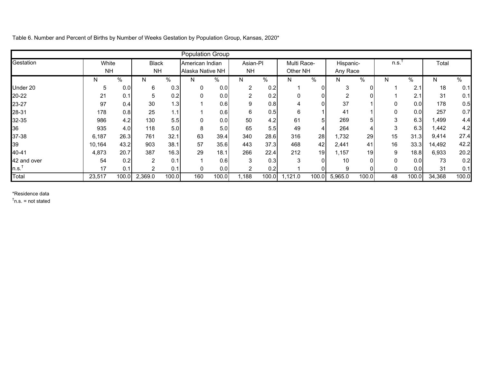Table 6. Number and Percent of Births by Number of Weeks Gestation by Population Group, Kansas, 2020\*

|             |           |       |                |       | <b>Population Group</b> |       |               |       |             |       |           |              |      |       |        |       |
|-------------|-----------|-------|----------------|-------|-------------------------|-------|---------------|-------|-------------|-------|-----------|--------------|------|-------|--------|-------|
| Gestation   | White     |       | <b>Black</b>   |       | American Indian         |       | Asian-PI      |       | Multi Race- |       | Hispanic- |              | n.s. |       | Total  |       |
|             | <b>NH</b> |       | <b>NH</b>      |       | Alaska Native NH        |       | <b>NH</b>     |       | Other NH    |       | Any Race  |              |      |       |        |       |
|             | N         | %     | N              | %     | N.                      | %     | N             | $\%$  | N.          | %     | N.        | %            | N    | %     | N      | $\%$  |
| Under 20    | 5         | 0.0   | 6              | 0.3   | $\mathbf{0}$            | 0.0   | 2             | 0.2   |             | 0     | 3         | $\mathbf{0}$ |      | 2.1   | 18     | 0.1   |
| 20-22       | 21        | 0.1   | 5              | 0.2   | $\Omega$                | 0.0   | ົ             | 0.2   | $\Omega$    | 0     | ◠         | 0            |      | 2.1   | 31     | 0.1   |
| 23-27       | 97        | 0.4   | 30             | 1.3   |                         | 0.6   | 9             | 0.8   |             |       | 37        |              |      | 0.0   | 178    | 0.5   |
| 28-31       | 178       | 0.8   | 25             | 1.1   |                         | 0.6   | 6             | 0.5   | 6           |       | 41        |              |      | 0.0   | 257    | 0.7   |
| 32-35       | 986       | 4.2   | 130            | 5.5   | 0                       | 0.01  | 50            | 4.2   | 61          | 5     | 269       | 5            | 3    | 6.3   | l,499  | 4.4   |
| 36          | 935       | 4.0   | 118            | 5.0   | 8                       | 5.0   | 65            | 5.5   | 49          | 4     | 264       | 4            | 3    | 6.3   | 1,442  | 4.2   |
| 37-38       | 6,187     | 26.3  | 761            | 32.1  | 63                      | 39.4  | 340           | 28.6  | 316         | 28    | 1,732     | 29           | 15   | 31.3  | 9,414  | 27.4  |
| 39          | 10,164    | 43.2  | 903            | 38.1  | 57                      | 35.6  | 443           | 37.3  | 468         | 42    | 2,441     | 41           | 16   | 33.3  | 14,492 | 42.2  |
| 40-41       | 4,873     | 20.7  | 387            | 16.3  | 29                      | 18.1  | 266           | 22.4  | 212         | 19    | 1.157     | 19           | 9    | 18.8  | 6,933  | 20.2  |
| 42 and over | 54        | 0.2   | 2              | 0.1   |                         | 0.6   | ົ             | 0.3   | 3           |       | 10        | $\Omega$     |      | 0.0   | 73     | 0.2   |
| n.s.        | 17        | 0.1   | $\overline{2}$ | 0.1   | $\Omega$                | 0.01  | $\mathcal{P}$ | 0.2   |             |       | 9         | 0            | 0    | 0.0   | 31     | 0.1   |
| Total       | 23,517    | 100.0 | 2,369.0        | 100.0 | 160                     | 100.0 | 1,188         | 100.0 | ,121.0      | 100.0 | 5,965.0   | 100.0        | 48   | 100.0 | 34,368 | 100.0 |

\*Residence data

†n.s. = not stated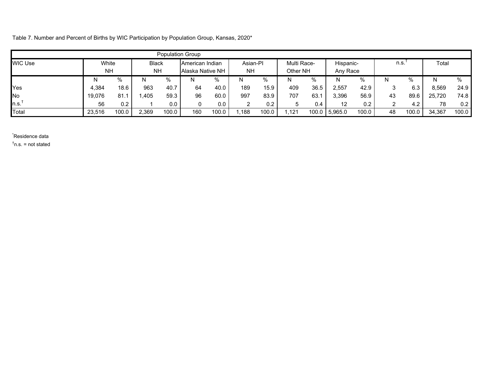Table 7. Number and Percent of Births by WIC Participation by Population Group, Kansas, 2020\*

|                |        |                        |              |       | <b>Population Group</b> |                  |           |       |             |       |           |       |    |       |        |       |
|----------------|--------|------------------------|--------------|-------|-------------------------|------------------|-----------|-------|-------------|-------|-----------|-------|----|-------|--------|-------|
| <b>WIC Use</b> | White  |                        | <b>Black</b> |       | American Indian         |                  | Asian-PI  |       | Multi Race- |       | Hispanic- |       |    | n.s.  | Total  |       |
|                |        | <b>NH</b><br><b>NH</b> |              |       |                         | Alaska Native NH | <b>NH</b> |       | Other NH    |       | Any Race  |       |    |       |        |       |
|                | N      | %                      |              | %     | N                       | %                | N         | %     | N           | %     | N.        | %     | Ν  |       | N      | $\%$  |
| Yes            | 4,384  | 18.6                   | 963          | 40.7  | 64                      | 40.0             | 189       | 15.9  | 409         | 36.5  | 2,557     | 42.9  | 3  | 6.3   | 8,569  | 24.9  |
| No             | 19,076 | 81.1                   | ,405         | 59.3  | 96                      | 60.0             | 997       | 83.9  | 707         | 63.7  | 3,396     | 56.9  | 43 | 89.6  | 25,720 | 74.8  |
| $\ln s$ .      | 56     | 0.2                    |              | 0.0   | $\mathbf{0}$            | 0.0              | ◠         | 0.2   | 5           | 0.4   | 12        | 0.2   |    | 4.2   | 78     | 0.2   |
| Total          | 23,516 | 100.0                  | 2,369        | 100.0 | 160                     | 100.0            | ,188      | 100.0 | ,121        | 100.0 | 5,965.0   | 100.0 | 48 | 100.0 | 34,367 | 100.0 |

\* Residence data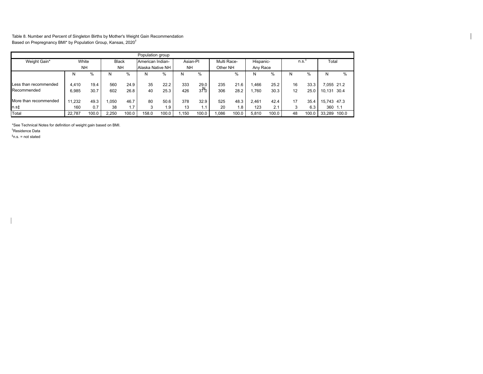Table 8. Number and Percent of Singleton Births by Mother's Weight Gain Recommendation Based on Prepregnancy BMI\* by Population Group, Kansas, 2020†

|                                      |                |              |              |              | Population group |              |            |                        |             |              |              |              |          |              |             |                   |
|--------------------------------------|----------------|--------------|--------------|--------------|------------------|--------------|------------|------------------------|-------------|--------------|--------------|--------------|----------|--------------|-------------|-------------------|
| Weight Gain*                         | White          |              | <b>Black</b> |              | American Indian- |              | Asian-PI   |                        | Multi Race- |              | Hispanic-    |              | n.s.     |              | Total       |                   |
|                                      | <b>NH</b>      |              | <b>NH</b>    |              | Alaska Native NH |              | <b>NH</b>  |                        | Other NH    |              | Any Race     |              |          |              |             |                   |
|                                      |                | %            | N            | %            | N                | %            | N          | %                      |             | %            |              | %            | N        | %            |             | $\%$              |
| Less than recommended<br>Recommended | 4.410<br>6.985 | 19.4<br>30.7 | 560<br>602   | 24.9<br>26.8 | 35<br>40         | 22.2<br>25.3 | 333<br>426 | 29.0<br>$3\frac{1}{2}$ | 235<br>306  | 21.6<br>28.2 | .466<br>.760 | 25.2<br>30.3 | 16<br>12 | 33.3<br>25.0 | 10.131      | .055 21.2<br>30.4 |
| More than recommended                | 11.232         | 49.3         | 0.050        | 46.7         | 80               | 50.6         | 378        | 32.9                   | 525         | 48.3         | 2.461        | 42.4         | 17       | 35.4         | 15,743 47.3 |                   |
| n.s‡                                 | 160            | 0.7          | 38           | 1.7          | 3                | 1.9          | 13         | 1.1                    | 20          | .8           | 123          | 2.1          | 3        | 6.3          | 360 1.1     |                   |
| Total                                | 22.787         | 100.0        | 2,250        | 100.0        | 158.0            | 100.0        | .150       | 100.0                  | .086        | 100.0        | 5,810        | 100.0        | 48       | 100.0        | 33.289      | 100.0             |

\*See Technical Notes for definition of weight gain based on BMI.

†Residence Data

‡n.s. = not stated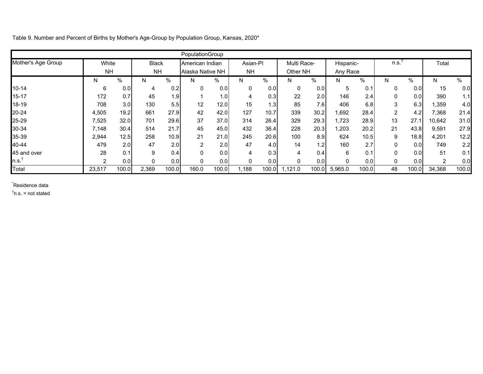Table 9. Number and Percent of Births by Mother's Age-Group by Population Group, Kansas, 2020\*

|                    |           |                  |              |       | PopulationGroup  |       |           |       |              |       |           |       |                |       |                |       |
|--------------------|-----------|------------------|--------------|-------|------------------|-------|-----------|-------|--------------|-------|-----------|-------|----------------|-------|----------------|-------|
| Mother's Age Group | White     |                  | <b>Black</b> |       | American Indian  |       | Asian-PI  |       | Multi Race-  |       | Hispanic- |       | n.s.           |       | Total          |       |
|                    | <b>NH</b> |                  | <b>NH</b>    |       | Alaska Native NH |       | <b>NH</b> |       | Other NH     |       | Any Race  |       |                |       |                |       |
|                    | N.        | %                | N            | $\%$  | N                | %     | N         | $\%$  | N            | %     | N.        | %     | N.             | %     | N              | %     |
| 10-14              | 6         | 0.0              | 4            | 0.2   | 0                | 0.0   |           | 0.0   | 0            | 0.0   | 5         | 0.1   | 0              | 0.0   | 15             | 0.0   |
| $15 - 17$          | 172       | 0.7              | 45           | 1.9   |                  | 1.0   | 4         | 0.3   | 22           | 2.0   | 146       | 2.4   | 0              | 0.0   | 390            | 1.1   |
| 18-19              | 708       | 3.0              | 130          | 5.5   | 12               | 12.0  | 15        | 1.3   | 85           | 7.6   | 406       | 6.8   | 3              | 6.3   | 1,359          | 4.0   |
| 20-24              | 4,505     | 19.2             | 661          | 27.9  | 42               | 42.0  | 127       | 10.7  | 339          | 30.2  | 1,692     | 28.4  | $\overline{2}$ | 4.2   | 7,368          | 21.4  |
| 25-29              | 7,525     | 32.0             | 701          | 29.6  | 37               | 37.0  | 314       | 26.4  | 329          | 29.3  | 1,723     | 28.9  | 13             | 27.1  | 10,642         | 31.0  |
| 30-34              | 7.148     | 30.4             | 514          | 21.7  | 45               | 45.0  | 432       | 36.4  | 228          | 20.3  | 1,203     | 20.2  | 21             | 43.8  | 9,591          | 27.9  |
| 35-39              | 2,944     | 12.5             | 258          | 10.9  | 21               | 21.0  | 245       | 20.6  | 100          | 8.9   | 624       | 10.5  | 9              | 18.8  | 4,201          | 12.2  |
| 40-44              | 479       | 2.0              | 47           | 2.0   | 2                | 2.0   | 47        | 4.0   | 14           | 1.2   | 160       | 2.7   | 0              | 0.0   | 749            | 2.2   |
| 45 and over        | 28        | 0.1              | 9            | 0.4   | 0                | 0.0   | 4         | 0.3   | 4            | 0.4   | 6         | 0.1   | 0              | 0.0   | 51             | 0.1   |
| າ.ຣ. $^{\dagger}$  | 2         | 0.0 <sub>l</sub> |              | 0.0   | 0                | 0.0   |           | 0.0   | $\mathbf{0}$ | 0.0   | 0         | 0.0   | 0              | 0.0   | $\overline{2}$ | 0.0   |
| Total              | 23,517    | 100.0            | 2,369        | 100.0 | 160.0            | 100.0 | 1,188     | 100.0 | ,121.0       | 100.0 | 5,965.0   | 100.0 | 48             | 100.0 | 34,368         | 100.0 |

\* Residence data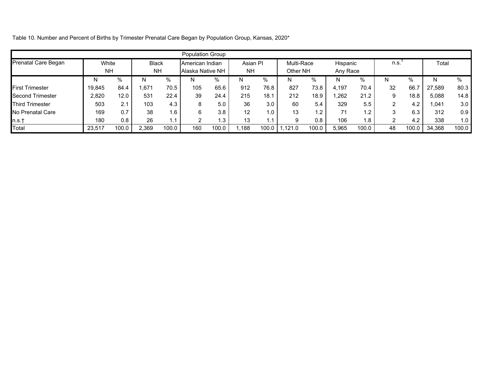| Table 10. Number and Percent of Births by Trimester Prenatal Care Began by Population Group, Kansas, 2020* |  |
|------------------------------------------------------------------------------------------------------------|--|
|                                                                                                            |  |

|                            |        |                        |              |       | <b>Population Group</b> |                  |           |       |            |       |          |       |               |       |        |       |
|----------------------------|--------|------------------------|--------------|-------|-------------------------|------------------|-----------|-------|------------|-------|----------|-------|---------------|-------|--------|-------|
| <b>Prenatal Care Began</b> | White  |                        | <b>Black</b> |       | American Indian         |                  | Asian PI  |       | Multi-Race |       | Hispanic |       | n.s.          |       | Total  |       |
|                            |        | <b>NH</b><br><b>NH</b> |              |       |                         | Alaska Native NH | <b>NH</b> |       | Other NH   |       | Any Race |       |               |       |        |       |
|                            | N      | %                      | N            | %     | N                       | %                | N         | %     | N          | $\%$  | N        | %     |               | $\%$  |        | $\%$  |
| <b>First Trimester</b>     | 19,845 | 84.4                   | 671,ا        | 70.5  | 105                     | 65.6             | 912       | 76.8  | 827        | 73.8  | 4.197    | 70.4  | 32            | 66.   | 27,589 | 80.3  |
| Second Trimester           | 2,820  | 12.0                   | 531          | 22.4  | 39                      | 24.4             | 215       | 18.1  | 212        | 18.9  | 1,262    | 21.2  | 9             | 18.8  | 5,088  | 14.8  |
| <b>Third Trimester</b>     | 503    | 2.1                    | 103          | 4.3   | 8                       | 5.0              | 36        | 3.0   | 60         | 5.4   | 329      | 5.5   | $\mathcal{P}$ | 4.2   | 041,،  | 3.0   |
| No Prenatal Care           | 169    | 0.7                    | 38           | 1.6   | 6                       | 3.8              | 12        | 1.0   | 13         | 1.2   | 71       | 1.2   | 3             | 6.3   | 312    | 0.9   |
| $\ln s.t$                  | 180    | 0.8                    | 26           | 1.1   |                         | 1.3              | 13        | 1.1   | 9          | 0.8   | 106      | 1.8   | ◠             | 4.2   | 338    | 1.0   |
| Total                      | 23.517 | 100.0                  | 2,369        | 100.0 | 160                     | 100.0            | 1,188     | 100.0 | 1.121.0    | 100.0 | 5,965    | 100.0 | 48            | 100.0 | 34.368 | 100.0 |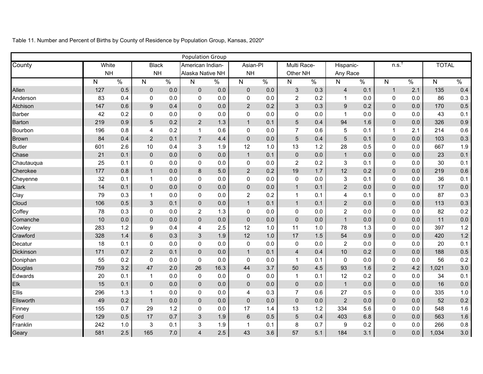Population Group County White NH Black NH American Indian-Alaska Native NH Asian-PI NH Multi Race- Other NH Hispanic- Any Race † n.s. TOTAL Allen Anderson Atchison Barber Barton Bourbon Brown **Butler Chase Chautauqua Cherokee Chevenne Clark Clay Cloud Coffey Comanche Cowley Crawford Decatur** Dickinson Doniphan **Douglas Edwards** Elk Ellis **Ellsworth Finney** Ford Franklin Geary N 127 83 147 42 219 196 84 601 21 25 177 32 14 79 106 78 10 283 328 18 171 55 759 20 15 296 49 155 129 242 581 % 0.5 0.4 0.6 0.2 0.9 0.8 0.4 2.6 0.1 0.1 0.8 0.1 0.1 0.3 0.5 0.3 0.0 1.2 1.4 0.1 0.7 0.2 3.2 0.1 0.1 1.3 0.2 0.7 0.5 1.0 2.5 N 0 0 9 0 5 4 2 10 0 0 1 1 0 1 3  $\Omega$ 0 9 6 0 2  $\Omega$ 47 1  $\Omega$ 1 1 29 17 3 165 % 0.0 0.0 0.4 0.0 0.2 0.2 0.1 0.4 0.0 0.0 0.0 0.0 0.0 0.0 0.1 0.0 0.0 0.4 0.3 0.0 0.1 0.0 2.0 0.0 0.0 0.0 0.0 1.2 0.7 0.1 7.0 N % 0 0.0 0 0.0 0 0.0 0 0.0 2 1.3 1 0.6 7 4.4 3 1.9 0 0.0 0 0.0 8 5.0 0 0.0 0 0.0 0 0.0 0 0.0 2 1.3 0 0.0 4 2.5 3 1.9 0 0.0 0 0.0 0 0.0 26 16.3 0 0.0 0 0.0 0 0.0 0 0.0 0 0.0 3 1.9 3 1.9 4 2.5  $N \qquad \frac{9}{6}$ 0 0.0 0 0.0 2 0.2 0 0.0 1 0.1 0 0.0 0 0.0 12 1.0 1 0.1 0 0.0 2 0.2 0 0.0 0 0.0 2 0.2 1 0.1 0 0.0 0 0.0 12 1.0 12 1.0 0 0.0 1 0.1 0 0.0 44 3.7 0 0.0 0 0.0 4 0.3 0 0.0 17 1.4 6 0.5 1 0.1 43 3.6 N % 3 0.3 2 0.2 3 0.3 0 0.0 5 0.4 7 0.6 5 0.4 13 1.2 0 0.0 2 0.2 19 1.7 0 0.0 1 0.1 1 0.1 1 0.1 0 0.0 0 0.0 11 1.0 17 1.5 0 0.0 4 0.4 1 0.1 50 4.5 1 0.1 0 0.0 7 0.6 0 0.0 13 1.2 5 0.4 8 0.7 57 5.1  $N$  % 4 0.1 1 0.0 9 0.2 1 0.0 94 1.6 5 0.1 5 0.1 28 0.5 1 0.0 3 0.1 12 0.2 3 0.1 2 0.0 4 0.1 2 0.0 2 0.0 1 0.0 78 1.3 54 0.9 2 0.0 10 0.2 0 0.0 93 1.6 12 0.2 1 0.0 27 0.5 2 0.0 334 5.6 403 6.8 9 0.2 184 3.1 N 1 0  $\Omega$ 0 0 1 0 0 0 0 0 0  $\Omega$ 0 0  $\Omega$  $\Omega$ 0  $\Omega$ 0  $\Omega$  $\Omega$ 2 0  $\Omega$ 0 0  $\Omega$  $\Omega$ 0 0  $\frac{0}{6}$ 2.1 0.0 0.0 0.0 0.0 2.1 0.0 0.0 0.0 0.0 0.0 0.0 0.0 0.0 0.0 0.0 0.0 0.0 0.0 0.0 0.0 0.0 4.2 0.0 0.0 0.0 0.0 0.0 0.0 0.0 0.0 N 135 86 170 43 326 214 103 667 23 30 219 36 17 87 113 82 11 397 420 20 188 56 1,021 34 16 335 52 548 563 266 1,034 % 0.4 0.3 0.5 0.1 0.9 0.6 0.3 1.9 0.1 0.1 0.6 0.1 0.0 0.3 0.3 0.2 0.0 1.2 1.2 0.1 0.5 0.2 3.0 0.1 0.0 1.0 0.2 1.6 1.6 0.8 3.0

Table 11. Number and Percent of Births by County of Residence by Population Group, Kansas, 2020\*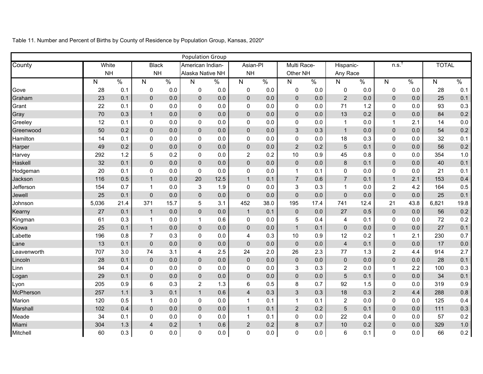|             |              |               |                         |               | <b>Population Group</b> |               |                         |               |                     |               |                         |               |                |               |              |               |
|-------------|--------------|---------------|-------------------------|---------------|-------------------------|---------------|-------------------------|---------------|---------------------|---------------|-------------------------|---------------|----------------|---------------|--------------|---------------|
| County      | White        |               | <b>Black</b>            |               | American Indian-        |               | Asian-Pl                |               | Multi Race-         |               | Hispanic-               |               | n.s.           |               | <b>TOTAL</b> |               |
|             | <b>NH</b>    |               | <b>NH</b>               |               | Alaska Native NH        |               | <b>NH</b>               |               | Other NH            |               | Any Race                |               |                |               |              |               |
|             | $\mathsf{N}$ | $\frac{0}{6}$ | $\overline{N}$          | $\frac{0}{0}$ | $\overline{N}$          | $\frac{8}{6}$ | $\overline{N}$          | $\frac{0}{0}$ | $\mathsf{N}$        | $\frac{0}{6}$ | $\mathsf{N}$            | $\frac{1}{2}$ | $\mathsf{N}$   | $\frac{9}{6}$ | $\mathsf{N}$ | $\frac{0}{0}$ |
| Gove        | 28           | 0.1           | 0                       | 0.0           | $\mathsf 0$             | 0.0           | $\pmb{0}$               | 0.0           | $\mathbf 0$         | 0.0           | $\pmb{0}$               | 0.0           | $\mathbf 0$    | 0.0           | 28           | 0.1           |
| Graham      | 23           | 0.1           | $\pmb{0}$               | 0.0           | $\pmb{0}$               | 0.0           | $\pmb{0}$               | 0.0           | $\pmb{0}$           | 0.0           | $\overline{2}$          | 0.0           | $\pmb{0}$      | 0.0           | 25           | 0.1           |
| Grant       | 22           | 0.1           | $\pmb{0}$               | 0.0           | $\pmb{0}$               | 0.0           | $\pmb{0}$               | 0.0           | $\pmb{0}$           | 0.0           | 71                      | 1.2           | $\mathsf 0$    | 0.0           | 93           | 0.3           |
| Gray        | 70           | 0.3           | $\mathbf{1}$            | 0.0           | $\pmb{0}$               | 0.0           | $\pmb{0}$               | 0.0           | $\pmb{0}$           | 0.0           | 13                      | 0.2           | $\pmb{0}$      | 0.0           | 84           | 0.2           |
| Greeley     | 12           | 0.1           | $\pmb{0}$               | 0.0           | $\pmb{0}$               | 0.0           | $\pmb{0}$               | 0.0           | $\pmb{0}$           | 0.0           | $\mathbf{1}$            | 0.0           | $\mathbf{1}$   | 2.1           | 14           | 0.0           |
| Greenwood   | 50           | 0.2           | $\mathbf 0$             | 0.0           | $\pmb{0}$               | 0.0           | $\pmb{0}$               | 0.0           | $\mathfrak{S}$      | 0.3           | $\mathbf{1}$            | 0.0           | $\pmb{0}$      | 0.0           | 54           | 0.2           |
| Hamilton    | 14           | 0.1           | 0                       | 0.0           | $\pmb{0}$               | 0.0           | $\pmb{0}$               | 0.0           | $\pmb{0}$           | 0.0           | 18                      | 0.3           | 0              | 0.0           | 32           | 0.1           |
| Harper      | 49           | 0.2           | $\pmb{0}$               | 0.0           | $\pmb{0}$               | 0.0           | $\pmb{0}$               | 0.0           | $\overline{2}$      | 0.2           | $\sqrt{5}$              | 0.1           | $\pmb{0}$      | 0.0           | 56           | 0.2           |
| Harvey      | 292          | 1.2           | 5                       | 0.2           | $\mathbf 0$             | 0.0           | $\overline{2}$          | 0.2           | 10                  | 0.9           | 45                      | 0.8           | 0              | 0.0           | 354          | 1.0           |
| Haskell     | 32           | 0.1           | $\pmb{0}$               | 0.0           | $\pmb{0}$               | 0.0           | $\pmb{0}$               | 0.0           | $\pmb{0}$           | 0.0           | $\bf 8$                 | 0.1           | $\pmb{0}$      | 0.0           | 40           | 0.1           |
| Hodgeman    | 20           | 0.1           | $\mathbf 0$             | 0.0           | $\mathbf 0$             | 0.0           | $\pmb{0}$               | 0.0           | $\mathbf{1}$        | 0.1           | $\pmb{0}$               | 0.0           | $\mathbf 0$    | 0.0           | 21           | 0.1           |
| Jackson     | 116          | 0.5           | $\mathbf{1}$            | 0.0           | 20                      | 12.5          | $\mathbf{1}$            | 0.1           | $\overline{7}$      | 0.6           | $\overline{7}$          | 0.1           | $\mathbf{1}$   | 2.1           | 153          | 0.4           |
| Jefferson   | 154          | 0.7           | $\mathbf{1}$            | 0.0           | $\sqrt{3}$              | 1.9           | $\mathbf 0$             | 0.0           | 3                   | 0.3           | $\mathbf{1}$            | 0.0           | $\overline{c}$ | 4.2           | 164          | 0.5           |
| Jewell      | 25           | 0.1           | $\pmb{0}$               | 0.0           | $\pmb{0}$               | 0.0           | $\pmb{0}$               | 0.0           | $\pmb{0}$           | 0.0           | $\pmb{0}$               | 0.0           | $\pmb{0}$      | 0.0           | 25           | 0.1           |
| Johnson     | 5,036        | 21.4          | 371                     | 15.7          | $\mathbf 5$             | 3.1           | 452                     | 38.0          | 195                 | 17.4          | 741                     | 12.4          | 21             | 43.8          | 6,821        | 19.8          |
| Kearny      | 27           | 0.1           | $\mathbf{1}$            | 0.0           | $\pmb{0}$               | 0.0           | $\mathbf{1}$            | 0.1           | $\mathbf 0$         | 0.0           | 27                      | 0.5           | $\pmb{0}$      | 0.0           | 56           | 0.2           |
| Kingman     | 61           | 0.3           | $\mathbf{1}$            | 0.0           | $\mathbf{1}$            | 0.6           | $\pmb{0}$               | 0.0           | $\sqrt{5}$          | 0.4           | $\overline{\mathbf{4}}$ | 0.1           | $\pmb{0}$      | 0.0           | 72           | 0.2           |
| Kiowa       | 25           | 0.1           | $\mathbf{1}$            | 0.0           | $\pmb{0}$               | 0.0           | $\pmb{0}$               | 0.0           | $\mathbf{1}$        | 0.1           | $\pmb{0}$               | 0.0           | $\pmb{0}$      | 0.0           | 27           | 0.1           |
| Labette     | 196          | 0.8           | $\overline{7}$          | 0.3           | $\pmb{0}$               | 0.0           | $\overline{\mathbf{4}}$ | 0.3           | 10                  | 0.9           | 12                      | 0.2           | $\mathbf{1}$   | 2.1           | 230          | 0.7           |
| Lane        | 13           | 0.1           | $\pmb{0}$               | 0.0           | $\mathbf 0$             | 0.0           | $\pmb{0}$               | 0.0           | $\pmb{0}$           | 0.0           | $\overline{4}$          | 0.1           | $\pmb{0}$      | 0.0           | 17           | 0.0           |
| Leavenworth | 707          | 3.0           | 74                      | 3.1           | $\overline{\mathbf{4}}$ | 2.5           | 24                      | 2.0           | 26                  | 2.3           | 77                      | 1.3           | $\overline{c}$ | 4.4           | 914          | 2.7           |
| Lincoln     | 28           | 0.1           | $\pmb{0}$               | 0.0           | $\pmb{0}$               | 0.0           | $\pmb{0}$               | 0.0           | $\mathsf{O}\xspace$ | 0.0           | $\pmb{0}$               | 0.0           | $\pmb{0}$      | 0.0           | 28           | 0.1           |
| Linn        | 94           | 0.4           | $\pmb{0}$               | 0.0           | $\pmb{0}$               | 0.0           | $\pmb{0}$               | 0.0           | 3                   | 0.3           | $\overline{2}$          | 0.0           | $\mathbf{1}$   | 2.2           | 100          | 0.3           |
| Logan       | 29           | 0.1           | $\pmb{0}$               | 0.0           | $\pmb{0}$               | 0.0           | $\pmb{0}$               | 0.0           | $\pmb{0}$           | 0.0           | 5                       | 0.1           | $\pmb{0}$      | 0.0           | 34           | 0.1           |
| Lyon        | 205          | 0.9           | 6                       | 0.3           | $\overline{c}$          | 1.3           | 6                       | 0.5           | 8                   | 0.7           | 92                      | 1.5           | 0              | 0.0           | 319          | 0.9           |
| McPherson   | 257          | 1.1           | 3                       | 0.1           | $\mathbf{1}$            | 0.6           | $\overline{\mathbf{4}}$ | 0.3           | 3                   | 0.3           | 18                      | 0.3           | $\overline{2}$ | 4.4           | 288          | 0.8           |
| Marion      | 120          | 0.5           | $\mathbf{1}$            | 0.0           | $\mathbf 0$             | 0.0           | $\mathbf{1}$            | 0.1           | $\mathbf{1}$        | 0.1           | $\overline{c}$          | 0.0           | 0              | 0.0           | 125          | 0.4           |
| Marshall    | 102          | 0.4           | $\pmb{0}$               | 0.0           | $\pmb{0}$               | 0.0           | $\mathbf{1}$            | 0.1           | $\overline{2}$      | 0.2           | $\overline{5}$          | 0.1           | $\pmb{0}$      | 0.0           | 111          | 0.3           |
| Meade       | 34           | 0.1           | 0                       | 0.0           | $\mathbf 0$             | 0.0           | $\mathbf{1}$            | 0.1           | $\pmb{0}$           | 0.0           | 22                      | 0.4           | 0              | 0.0           | 57           | 0.2           |
| Miami       | 304          | 1.3           | $\overline{\mathbf{4}}$ | 0.2           | $\mathbf{1}$            | 0.6           | $\overline{2}$          | 0.2           | $\bf 8$             | 0.7           | 10                      | 0.2           | $\pmb{0}$      | 0.0           | 329          | 1.0           |
| Mitchell    | 60           | 0.3           | 0                       | 0.0           | $\mathbf 0$             | 0.0           | $\mathbf 0$             | 0.0           | 0                   | 0.0           | $6\phantom{1}$          | 0.1           | 0              | 0.0           | 66           | $0.2\,$       |

Table 11. Number and Percent of Births by County of Residence by Population Group, Kansas, 2020\*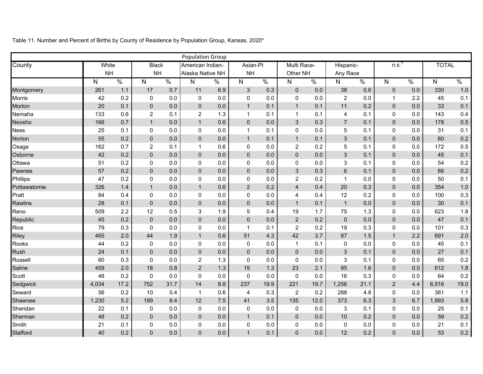|              |              |               |                         |               | <b>Population Group</b> |               |                         |               |                         |               |                         |               |                  |               |              |               |
|--------------|--------------|---------------|-------------------------|---------------|-------------------------|---------------|-------------------------|---------------|-------------------------|---------------|-------------------------|---------------|------------------|---------------|--------------|---------------|
| County       | White        |               | <b>Black</b>            |               | American Indian-        |               | Asian-Pl                |               | Multi Race-             |               | Hispanic-               |               | n.s.             |               | <b>TOTAL</b> |               |
|              | <b>NH</b>    |               | <b>NH</b>               |               | Alaska Native NH        |               | <b>NH</b>               |               | Other NH                |               | Any Race                |               |                  |               |              |               |
|              | $\mathsf{N}$ | $\frac{8}{6}$ | $\overline{\mathsf{N}}$ | $\frac{0}{0}$ | N                       | $\frac{8}{6}$ | $\overline{N}$          | $\frac{0}{6}$ | $\overline{N}$          | $\frac{1}{2}$ | N                       | $\frac{1}{2}$ | $\mathsf{N}$     | $\frac{9}{6}$ | $\mathsf{N}$ | $\frac{0}{0}$ |
| Montgomery   | 261          | 1.1           | 17                      | 0.7           | 11                      | 6.9           | $\mathfrak{S}$          | 0.3           | $\pmb{0}$               | 0.0           | 38                      | 0.6           | $\pmb{0}$        | 0.0           | 330          | 1.0           |
| Morris       | 42           | 0.2           | $\mathbf 0$             | 0.0           | $\pmb{0}$               | 0.0           | $\pmb{0}$               | 0.0           | $\pmb{0}$               | 0.0           | $\overline{c}$          | 0.0           | $\mathbf{1}$     | 2.2           | 45           | 0.1           |
| Morton       | 20           | 0.1           | $\pmb{0}$               | 0.0           | $\pmb{0}$               | 0.0           | $\mathbf{1}$            | 0.1           | $\mathbf{1}$            | 0.1           | 11                      | 0.2           | $\pmb{0}$        | 0.0           | 33           | 0.1           |
| Nemaha       | 133          | 0.6           | $\overline{c}$          | 0.1           | $\overline{c}$          | 1.3           | $\mathbf{1}$            | 0.1           | $\mathbf{1}$            | 0.1           | $\overline{\mathbf{4}}$ | 0.1           | 0                | 0.0           | 143          | 0.4           |
| Neosho       | 166          | 0.7           | $\mathbf{1}$            | 0.0           | $\mathbf{1}$            | 0.6           | $\pmb{0}$               | 0.0           | $\mathfrak{S}$          | 0.3           | $\overline{7}$          | 0.1           | $\pmb{0}$        | 0.0           | 178          | 0.5           |
| <b>Ness</b>  | 25           | 0.1           | $\mathbf 0$             | 0.0           | $\pmb{0}$               | 0.0           | $\mathbf{1}$            | 0.1           | 0                       | 0.0           | 5                       | 0.1           | $\mathsf 0$      | 0.0           | 31           | 0.1           |
| Norton       | 55           | 0.2           | $\mathbf 0$             | 0.0           | $\mathbf 0$             | 0.0           | $\mathbf{1}$            | 0.1           | $\mathbf{1}$            | 0.1           | $\sqrt{3}$              | 0.1           | $\mathbf 0$      | 0.0           | 60           | 0.2           |
| Osage        | 162          | 0.7           | $\overline{2}$          | 0.1           | $\mathbf{1}$            | 0.6           | $\pmb{0}$               | 0.0           | $\overline{c}$          | 0.2           | 5                       | 0.1           | $\mathsf 0$      | 0.0           | 172          | 0.5           |
| Osborne      | 42           | 0.2           | $\pmb{0}$               | 0.0           | $\pmb{0}$               | 0.0           | $\pmb{0}$               | 0.0           | $\pmb{0}$               | 0.0           | $\mathfrak{S}$          | 0.1           | $\pmb{0}$        | 0.0           | 45           | 0.1           |
| Ottawa       | 51           | 0.2           | $\mathbf 0$             | 0.0           | $\pmb{0}$               | 0.0           | $\pmb{0}$               | 0.0           | 0                       | 0.0           | $\mathfrak{S}$          | 0.1           | 0                | 0.0           | 54           | 0.2           |
| Pawnee       | 57           | 0.2           | $\mathbf 0$             | 0.0           | $\pmb{0}$               | 0.0           | $\pmb{0}$               | 0.0           | 3                       | 0.3           | $\,6\,$                 | 0.1           | $\pmb{0}$        | 0.0           | 66           | 0.2           |
| Phillips     | 47           | 0.2           | 0                       | 0.0           | $\pmb{0}$               | 0.0           | $\pmb{0}$               | 0.0           | $\overline{c}$          | 0.2           | $\mathbf{1}$            | 0.0           | $\mathsf 0$      | 0.0           | 50           | 0.1           |
| Pottawatomie | 326          | 1.4           | $\mathbf{1}$            | 0.0           | $\mathbf{1}$            | 0.6           | $\overline{2}$          | 0.2           | $\overline{\mathbf{4}}$ | 0.4           | 20                      | 0.3           | $\pmb{0}$        | 0.0           | 354          | 1.0           |
| Pratt        | 84           | 0.4           | $\mathbf 0$             | 0.0           | $\pmb{0}$               | 0.0           | $\pmb{0}$               | 0.0           | 4                       | 0.4           | 12                      | 0.2           | 0                | 0.0           | 100          | 0.3           |
| Rawlins      | 28           | 0.1           | $\mathbf 0$             | 0.0           | $\pmb{0}$               | 0.0           | $\pmb{0}$               | 0.0           | $\mathbf{1}$            | 0.1           | $\mathbf{1}$            | 0.0           | $\pmb{0}$        | 0.0           | 30           | 0.1           |
| Reno         | 509          | 2.2           | 12                      | 0.5           | 3                       | 1.9           | 5                       | 0.4           | 19                      | 1.7           | 75                      | 1.3           | 0                | 0.0           | 623          | 1.8           |
| Republic     | 45           | 0.2           | $\pmb{0}$               | $0.0\,$       | $\pmb{0}$               | 0.0           | $\pmb{0}$               | 0.0           | $\sqrt{2}$              | 0.2           | $\pmb{0}$               | 0.0           | $\pmb{0}$        | 0.0           | 47           | 0.1           |
| Rice         | 79           | 0.3           | $\mathbf 0$             | 0.0           | $\pmb{0}$               | 0.0           | $\mathbf{1}$            | 0.1           | $\overline{c}$          | 0.2           | 19                      | 0.3           | 0                | 0.0           | 101          | 0.3           |
| Riley        | 465          | 2.0           | 44                      | 1.9           | $\mathbf{1}$            | 0.6           | 51                      | 4.3           | 42                      | 3.7           | 87                      | 1.5           | $\mathbf{1}$     | 2.2           | 691          | 2.0           |
| Rooks        | 44           | 0.2           | $\mathbf 0$             | 0.0           | $\pmb{0}$               | 0.0           | $\pmb{0}$               | 0.0           | $\mathbf{1}$            | 0.1           | $\pmb{0}$               | 0.0           | 0                | 0.0           | 45           | 0.1           |
| Rush         | 24           | 0.1           | $\pmb{0}$               | 0.0           | $\pmb{0}$               | 0.0           | $\pmb{0}$               | 0.0           | $\pmb{0}$               | 0.0           | $\sqrt{3}$              | 0.1           | $\pmb{0}$        | 0.0           | 27           | 0.1           |
| Russell      | 60           | 0.3           | $\mathbf 0$             | 0.0           | $\boldsymbol{2}$        | 1.3           | $\pmb{0}$               | 0.0           | 0                       | 0.0           | $\mathfrak{S}$          | 0.1           | $\mathsf 0$      | 0.0           | 65           | 0.2           |
| Saline       | 459          | 2.0           | 18                      | 0.8           | $\overline{2}$          | 1.3           | 15                      | 1.3           | 23                      | 2.1           | 95                      | 1.6           | $\pmb{0}$        | 0.0           | 612          | 1.8           |
| Scott        | 48           | 0.2           | $\mathbf 0$             | 0.0           | $\pmb{0}$               | 0.0           | $\pmb{0}$               | 0.0           | $\pmb{0}$               | 0.0           | 16                      | 0.3           | $\pmb{0}$        | 0.0           | 64           | 0.2           |
| Sedgwick     | 4,034        | 17.2          | 752                     | 31.7          | 14                      | 8.8           | 237                     | 19.9          | 221                     | 19.7          | 1,256                   | 21.1          | $\overline{2}$   | 4.4           | 6,516        | 19.0          |
| Seward       | 56           | 0.2           | 10                      | 0.4           | $\overline{1}$          | 0.6           | $\overline{\mathbf{4}}$ | 0.3           | $\overline{c}$          | 0.2           | 288                     | 4.8           | 0                | 0.0           | 361          | 1.1           |
| Shawnee      | 1,230        | 5.2           | 199                     | 8.4           | 12                      | 7.5           | 41                      | 3.5           | 135                     | 12.0          | 373                     | 6.3           | 3                | 6.7           | 1,993        | 5.8           |
| Sheridan     | 22           | 0.1           | $\mathbf 0$             | 0.0           | $\pmb{0}$               | 0.0           | $\pmb{0}$               | 0.0           | $\pmb{0}$               | 0.0           | 3                       | 0.1           | $\boldsymbol{0}$ | 0.0           | 25           | 0.1           |
| Sherman      | 48           | 0.2           | $\pmb{0}$               | 0.0           | $\pmb{0}$               | 0.0           | $\mathbf{1}$            | 0.1           | $\pmb{0}$               | 0.0           | 10                      | 0.2           | $\pmb{0}$        | 0.0           | 59           | 0.2           |
| Smith        | 21           | 0.1           | $\pmb{0}$               | 0.0           | $\pmb{0}$               | 0.0           | $\pmb{0}$               | 0.0           | 0                       | 0.0           | $\pmb{0}$               | 0.0           | 0                | 0.0           | 21           | 0.1           |
| Stafford     | 40           | 0.2           | $\mathbf 0$             | 0.0           | $\mathbf 0$             | 0.0           | $\mathbf{1}$            | 0.1           | $\mathbf 0$             | 0.0           | 12                      | 0.2           | $\mathbf 0$      | 0.0           | 53           | $0.2\,$       |

Table 11. Number and Percent of Births by County of Residence by Population Group, Kansas, 2020\*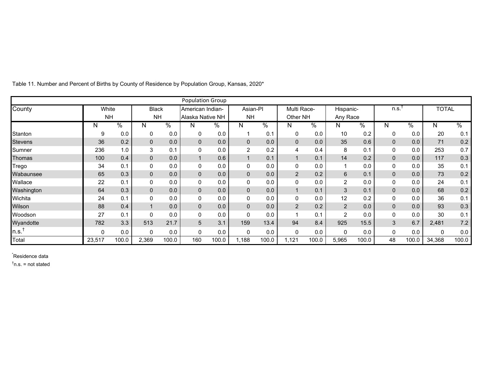|                      |           |       |              |                         | <b>Population Group</b> |       |                |       |                |       |                |            |      |       |              |               |
|----------------------|-----------|-------|--------------|-------------------------|-------------------------|-------|----------------|-------|----------------|-------|----------------|------------|------|-------|--------------|---------------|
| County               | White     |       | <b>Black</b> |                         | American Indian-        |       | Asian-PI       |       | Multi Race-    |       | Hispanic-      |            | n.s. |       | <b>TOTAL</b> |               |
|                      | <b>NH</b> |       | <b>NH</b>    |                         | Alaska Native NH        |       | <b>NH</b>      |       | Other NH       |       | Any Race       |            |      |       |              |               |
|                      | N         | $\%$  | N            | $\sqrt[6]{\phantom{.}}$ | N                       | %     | N              | %     | N              | $\%$  | N              | $\sqrt{6}$ | N    | $\%$  | Ν            | $\frac{1}{6}$ |
| Stanton              | 9         | 0.0   | 0            | 0.0                     | $\mathbf 0$             | 0.0   |                | 0.1   | 0              | 0.0   | 10             | 0.2        | 0    | 0.0   | 20           | 0.1           |
| <b>Stevens</b>       | 36        | 0.2   | $\mathbf{0}$ | 0.0                     | $\overline{0}$          | 0.0   | $\mathbf 0$    | 0.0   | 0              | 0.0   | 35             | 0.6        | 0    | 0.0   | 71           | 0.2           |
| Sumner               | 236       | 1.0   | 3            | 0.1                     | 0                       | 0.0   | $\overline{2}$ | 0.2   | 4              | 0.4   | 8              | 0.1        | 0    | 0.0   | 253          | 0.7           |
| Thomas               | 100       | 0.4   | $\mathbf{0}$ | 0.0                     |                         | 0.6   |                | 0.1   | $\mathbf 1$    | 0.1   | 14             | 0.2        | 0    | 0.0   | 117          | 0.3           |
| Trego                | 34        | 0.1   | 0            | 0.0                     | 0                       | 0.0   | 0              | 0.0   | 0              | 0.0   |                | 0.0        | 0    | 0.0   | 35           | 0.1           |
| Wabaunsee            | 65        | 0.3   | $\mathbf 0$  | 0.0                     | $\overline{0}$          | 0.0   | $\mathbf 0$    | 0.0   | $\overline{2}$ | 0.2   | $\,6\,$        | 0.1        | 0    | 0.0   | 73           | 0.2           |
| Wallace              | 22        | 0.1   | 0            | 0.0                     | 0                       | 0.0   | 0              | 0.0   | 0              | 0.0   | $\overline{2}$ | 0.0        | 0    | 0.0   | 24           | 0.1           |
| Washington           | 64        | 0.3   | $\mathbf{0}$ | 0.0                     | $\overline{0}$          | 0.0   | $\mathbf{0}$   | 0.0   | $\mathbf 1$    | 0.1   | $\mathbf{3}$   | 0.1        | 0    | 0.0   | 68           | 0.2           |
| Wichita              | 24        | 0.1   | 0            | 0.0                     | 0                       | 0.0   | 0              | 0.0   | 0              | 0.0   | 12             | 0.2        | 0    | 0.0   | 36           | 0.1           |
| Wilson               | 88        | 0.4   |              | 0.0                     | $\overline{0}$          | 0.0   | $\pmb{0}$      | 0.0   | $\overline{2}$ | 0.2   | $\overline{2}$ | 0.0        | 0    | 0.0   | 93           | 0.3           |
| Woodson              | 27        | 0.1   | 0            | 0.0                     | 0                       | 0.0   | 0              | 0.0   | 1              | 0.1   | $\overline{a}$ | 0.0        | 0    | 0.0   | 30           | 0.1           |
| Wyandotte            | 782       | 3.3   | 513          | 21.7                    | 5                       | 3.1   | 159            | 13.4  | 94             | 8.4   | 925            | 15.5       | 3    | 6.7   | 2,481        | 7.2           |
| $\ln s$ <sup>t</sup> | $\Omega$  | 0.0   | 0            | 0.0                     | $\mathbf 0$             | 0.0   | $\mathbf 0$    | 0.0   | 0              | 0.0   | 0              | 0.0        | 0    | 0.0   | 0            | 0.0           |
| Total                | 23,517    | 100.0 | 2,369        | 100.0                   | 160                     | 100.0 | 1,188          | 100.0 | 1,121          | 100.0 | 5,965          | 100.0      | 48   | 100.0 | 34,368       | 100.0         |

Table 11. Number and Percent of Births by County of Residence by Population Group, Kansas, 2020\*

\* Residence data  $<sup>†</sup>$ n.s. = not stated</sup>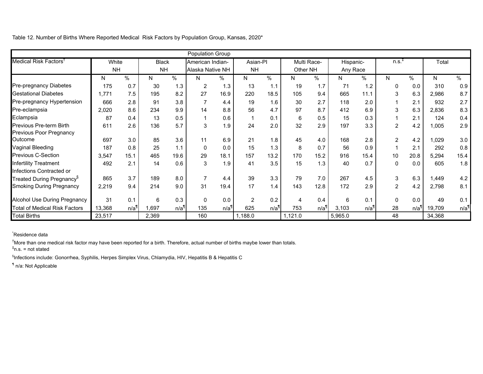Table 12. Number of Births Where Reported Medical Risk Factors by Population Group, Kansas, 2020\*

|                                       |           |                  |              |      | Population Group |                  |                |                    |          |                    |           |                    |                |      |        |                  |
|---------------------------------------|-----------|------------------|--------------|------|------------------|------------------|----------------|--------------------|----------|--------------------|-----------|--------------------|----------------|------|--------|------------------|
| Medical Risk Factors <sup>1</sup>     | White     |                  | <b>Black</b> |      | American Indian- |                  | Asian-PI       |                    |          | Multi Race-        | Hispanic- |                    | $n.s.+$        |      | Total  |                  |
|                                       | <b>NH</b> |                  | <b>NH</b>    |      | Alaska Native NH |                  | <b>NH</b>      |                    | Other NH |                    | Any Race  |                    |                |      |        |                  |
|                                       | N         | %                | N            | $\%$ | N                | %                | N              | $\sqrt{6}$         | N        | $\%$               | N         | $\%$               | N              | $\%$ | N      | $\%$             |
| <b>Pre-pregnancy Diabetes</b>         | 175       | 0.7              | 30           | 1.3  | $\overline{2}$   | 1.3              | 13             | 1.1                | 19       | 1.7                | 71        | 1.2                | 0              | 0.0  | 310    | 0.9              |
| <b>Gestational Diabetes</b>           | 1.771     | 7.5              | 195          | 8.2  | 27               | 16.9             | 220            | 18.5               | 105      | 9.4                | 665       | 11.1               | 3              | 6.3  | 2,986  | 8.7              |
| Pre-pregnancy Hypertension            | 666       | 2.8              | 91           | 3.8  |                  | 4.4              | 19             | 1.6                | 30       | 2.7                | 118       | 2.0                |                | 2.1  | 932    | 2.7              |
| Pre-eclampsia                         | 2,020     | 8.6              | 234          | 9.9  | 14               | 8.8              | 56             | 4.7                | 97       | 8.7                | 412       | 6.9                | 3              | 6.3  | 2,836  | 8.3              |
| Eclampsia                             | 87        | 0.4              | 13           | 0.5  |                  | 0.6              |                | 0.1                | 6        | 0.5                | 15        | 0.3                |                | 2.1  | 124    | 0.4              |
| <b>Previous Pre-term Birth</b>        | 611       | 2.6              | 136          | 5.7  | 3                | 1.9              | 24             | 2.0                | 32       | 2.9                | 197       | 3.3                | $\overline{c}$ | 4.2  | 1,005  | 2.9              |
| <b>Previous Poor Pregnancy</b>        |           |                  |              |      |                  |                  |                |                    |          |                    |           |                    |                |      |        |                  |
| Outcome                               | 697       | 3.0              | 85           | 3.6  | 11               | 6.9              | 21             | 1.8                | 45       | 4.0                | 168       | 2.8                | $\overline{2}$ | 4.2  | ,029   | 3.0              |
| Vaginal Bleeding                      | 187       | 0.8              | 25           | 1.1  | $\Omega$         | 0.0              | 15             | 1.3                | 8        | 0.7                | 56        | 0.9                |                | 2.1  | 292    | 0.8              |
| <b>Previous C-Section</b>             | 3,547     | 15.1             | 465          | 19.6 | 29               | 18.1             | 157            | 13.2               | 170      | 15.2               | 916       | 15.4               | 10             | 20.8 | 5,294  | 15.4             |
| <b>Infertility Treatment</b>          | 492       | 2.1              | 14           | 0.6  | 3                | 1.9              | 41             | 3.5                | 15       | 1.3                | 40        | 0.7                | 0              | 0.0  | 605    | 1.8              |
| Infections Contracted or              |           |                  |              |      |                  |                  |                |                    |          |                    |           |                    |                |      |        |                  |
| Treated During Pregnancy <sup>§</sup> | 865       | 3.7              | 189          | 8.0  |                  | 4.4              | 39             | 3.3                | 79       | 7.0                | 267       | 4.5                | 3              | 6.3  | ,449   | 4.2              |
| <b>Smoking During Pregnancy</b>       | 2,219     | 9.4              | 214          | 9.0  | 31               | 19.4             | 17             | 1.4                | 143      | 12.8               | 172       | 2.9                | $\overline{a}$ | 4.2  | 2,798  | 8.1              |
| <b>Alcohol Use During Pregnancy</b>   | 31        | 0.1              | 6            | 0.3  | $\Omega$         | 0.0              | $\overline{2}$ | 0.2                | 4        | 0.4                | 6         | 0.1                | 0              | 0.0  | 49     | 0.1              |
| <b>Total of Medical Risk Factors</b>  | 13,368    | n/a <sup>1</sup> | ,697         | n/a  | 135              | n/a <sup>1</sup> | 625            | $n/a$ <sup>1</sup> | 753      | $n/a$ <sup>1</sup> | 3,103     | $n/a$ <sup>1</sup> | 28             | n/a  | 19,709 | n/a <sup>1</sup> |
| <b>Total Births</b>                   | 23,517    |                  | 2,369        |      | 160              |                  | 1,188.0        |                    | 1,121.0  |                    | 5,965.0   |                    | 48             |      | 34,368 |                  |

\* Residence data

†More than one medical risk factor may have been reported for a birth. Therefore, actual number of births maybe lower than totals.

‡n.s. = not stated

§Infections include: Gonorrhea, Syphilis, Herpes Simplex Virus, Chlamydia, HIV, Hepatitis B & Hepatitis C

¶ n/a: Not Applicable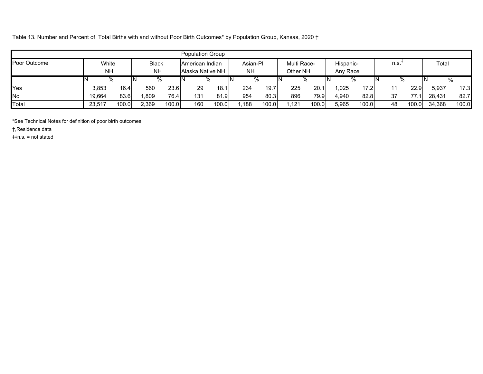Table 13. Number and Percent of Total Births with and without Poor Birth Outcomes\* by Population Group, Kansas, 2020 †

|              |                        |                   |       |              | <b>Population Group</b> |       |           |          |    |               |           |                   |      |       |        |       |
|--------------|------------------------|-------------------|-------|--------------|-------------------------|-------|-----------|----------|----|---------------|-----------|-------------------|------|-------|--------|-------|
| Poor Outcome |                        | White             |       | <b>Black</b> | American Indian         |       |           | Asian-PI |    | Multi Race-   | Hispanic- |                   | n.s. |       | Total  |       |
|              | <b>NH</b><br><b>NH</b> |                   |       |              | Alaska Native NH        |       | <b>NH</b> |          |    | Other NH      | Any Race  |                   |      |       |        |       |
|              |                        | %                 |       | %            |                         | %     |           | %        | ΙN | %             | %         |                   | IN   | %     |        | %     |
| Yes          | 3,853                  | 16.4 <sub>1</sub> | 560   | 23.6         | 29                      | 18.1  | 234       | 19.7     |    | 225<br>20.1   | ,025      | 17.2 <sub>l</sub> | 11   | 22.9  | 5,937  | 17.3  |
| No           | 19.664                 | 83.6              | ,809  | 76.4         | 131                     | 81.9  | 954       | 80.3     |    | 896<br>79.9   | 4.940     | 82.8              | 37   |       | 28.431 | 82.7  |
| Total        | 23,517                 | 100.0             | 2,369 | 100.0        | 160                     | 100.0 | ,188      | 100.0    |    | 100.0<br>.121 | 5,965     | 100.0             | 48   | 100.0 | 34,368 | 100.0 |

\*See Technical Notes for definition of poor birth outcomes

†,Residence data

‡‡n.s. = not stated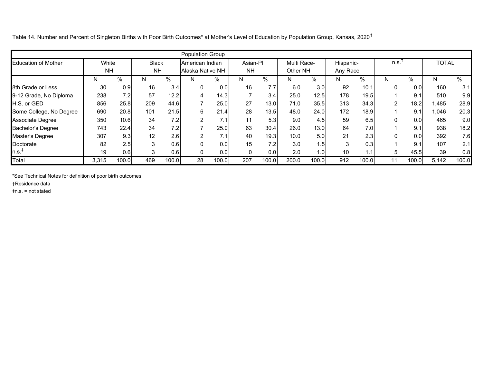Table 14. Number and Percent of Singleton Births with Poor Birth Outcomes\* at Mother's Level of Education by Population Group, Kansas, 2020<sup>†</sup>

|                            |           |       |              |       | Population Group |       |              |       |             |       |           |       |                |                  |              |       |
|----------------------------|-----------|-------|--------------|-------|------------------|-------|--------------|-------|-------------|-------|-----------|-------|----------------|------------------|--------------|-------|
| <b>Education of Mother</b> | White     |       | <b>Black</b> |       | American Indian  |       | Asian-PI     |       | Multi Race- |       | Hispanic- |       | n.s.           |                  | <b>TOTAL</b> |       |
|                            | <b>NH</b> |       | <b>NH</b>    |       | Alaska Native NH |       | <b>NH</b>    |       | Other NH    |       | Any Race  |       |                |                  |              |       |
|                            | N         | %     | N            | %     | N                | %     | N            | %     | N.          | %     | N         | %     | N              | %                | N            | $\%$  |
| 8th Grade or Less          | 30        | 0.9   | 16           | 3.4   |                  | 0.0   | 16           | 7.7   | 6.0         | 3.0   | 92        | 10.1  | 0              | 0.0 <sub>l</sub> | 160          | 3.1   |
| 9-12 Grade, No Diploma     | 238       | 7.2   | 57           | 12.2  | 4                | 14.3  |              | 3.4   | 25.0        | 12.5  | 178       | 19.5  |                | 9.1              | 510          | 9.9   |
| <b>H.S. or GED</b>         | 856       | 25.8  | 209          | 44.6  |                  | 25.0  | 27           | 13.0  | 71.0        | 35.5  | 313       | 34.3  | $\overline{2}$ | 18.2             | 1,485        | 28.9  |
| Some College, No Degree    | 690       | 20.8  | 101          | 21.5  | 6                | 21.4  | 28           | 13.5  | 48.0        | 24.0  | 172       | 18.9  |                | 9.1              | 1,046        | 20.3  |
| Associate Degree           | 350       | 10.6  | 34           | 7.2   |                  | 7.1   | 11           | 5.3   | 9.0         | 4.5   | 59        | 6.5   | 0              | 0.0 <sub>l</sub> | 465          | 9.0   |
| <b>Bachelor's Degree</b>   | 743       | 22.4  | 34           | 7.2   |                  | 25.0  | 63           | 30.4  | 26.0        | 13.0  | 64        | 7.0   |                | 9.1              | 938          | 18.2  |
| Master's Degree            | 307       | 9.3   | 12           | 2.6   | $\mathcal{P}$    | 7.1   | 40           | 19.3  | 10.0        | 5.0   | 21        | 2.3   | $\mathbf{0}$   | 0.0              | 392          | 7.6   |
| Doctorate                  | 82        | 2.5   | ົ            | 0.6   |                  | 0.0   | 15           | 7.2   | 3.0         | 1.5   | 3         | 0.3   |                | 9.1              | 107          | 2.1   |
| n.s. <sup>‡</sup>          | 19        | 0.6   | 3            | 0.6   |                  | 0.0   | $\mathbf{0}$ | 0.0   | 2.0         | 1.0   | 10        | .1    | 5              | 45.5             | 39           | 0.8   |
| Total                      | 3,315     | 100.0 | 469          | 100.0 | 28               | 100.0 | 207          | 100.0 | 200.0       | 100.0 | 912       | 100.0 | 11             | 100.0            | 5,142        | 100.0 |

\*See Technical Notes for definition of poor birth outcomes

†Residence data

‡n.s. = not stated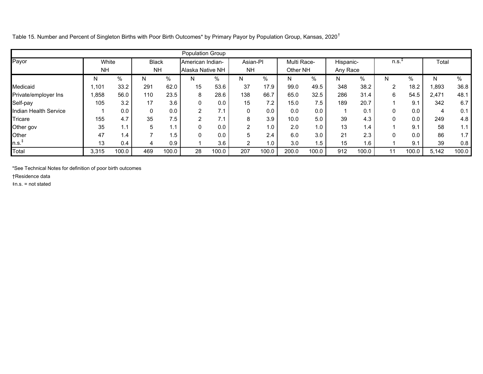Table 15. Number and Percent of Singleton Births with Poor Birth Outcomes\* by Primary Payor by Population Group, Kansas, 2020†

|                       |           |       |              |       | <b>Population Group</b> |       |                |       |             |       |           |               |          |       |       |       |
|-----------------------|-----------|-------|--------------|-------|-------------------------|-------|----------------|-------|-------------|-------|-----------|---------------|----------|-------|-------|-------|
| Payor                 | White     |       | <b>Black</b> |       | American Indian-        |       | Asian-Pl       |       | Multi Race- |       | Hispanic- |               | n.s.     |       | Total |       |
|                       | <b>NH</b> |       | <b>NH</b>    |       | Alaska Native NH        |       | <b>NH</b>      |       | Other NH    |       | Any Race  |               |          |       |       |       |
|                       | N         | %     | N            | %     | N                       | %     | N              | %     | N           | $\%$  | N         | %             | N        | $\%$  | N     | %     |
| Medicaid              | 1.101     | 33.2  | 291          | 62.0  | 15                      | 53.6  | 37             | 17.9  | 99.0        | 49.5  | 348       | 38.2          | 2        | 18.2  | 1,893 | 36.8  |
| Private/employer Ins  | 858,      | 56.0  | 110          | 23.5  | 8                       | 28.6  | 138            | 66.7  | 65.0        | 32.5  | 286       | 31.4          | 6        | 54.5  | 2,471 | 48.1  |
| Self-pay              | 105       | 3.2   | 17           | 3.6   | $\Omega$                | 0.0   | 15             | 7.2   | 15.0        | 7.5   | 189       | 20.7          |          | 9.1   | 342   | 6.7   |
| Indian Health Service |           | 0.0   | $\mathbf{0}$ | 0.0   | $\overline{2}$          | 7.1   | 0              | 0.0   | 0.0         | 0.0   |           | 0.1           | 0        | 0.0   | 4     | 0.1   |
| Tricare               | 155       | 4.7   | 35           | 7.5   | $\overline{2}$          | 7.1   | 8              | 3.9   | 10.0        | 5.0   | 39        | 4.3           | 0        | 0.0   | 249   | 4.8   |
| Other gov             | 35        | 1.1   | 5            |       | 0                       | 0.0   | $\overline{2}$ | 1.0   | 2.0         | 1.0   | 13        | $\mathbf{.4}$ |          | 9.1   | 58    | 1.1   |
| Other                 | 47        | 1.4   |              | 1.5   | $\mathbf{0}$            | 0.0   | 5              | 2.4   | 6.0         | 3.0   | 21        | 2.3           | $\Omega$ | 0.0   | 86    | 1.7   |
| n.s. <sup>1</sup>     | 13        | 0.4   | 4            | 0.9   |                         | 3.6   | $\overline{2}$ | 1.0   | 3.0         | 1.5   | 15        | 1.6           |          | 9.1   | 39    | 0.8   |
| Total                 | 3,315     | 100.0 | 469          | 100.0 | 28                      | 100.0 | 207            | 100.0 | 200.0       | 100.0 | 912       | 100.0         | 11       | 100.0 | 5,142 | 100.0 |

\*See Technical Notes for definition of poor birth outcomes

†Residence data

‡n.s. = not stated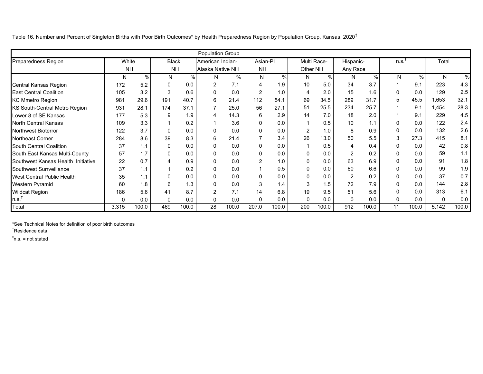Table 16. Number and Percent of Singleton Births with Poor Birth Outcomes\* by Health Preparedness Region by Population Group, Kansas, 2020†

|                                      |           |       |              |       | Population Group |       |                |       |          |             |           |               |      |       |              |       |
|--------------------------------------|-----------|-------|--------------|-------|------------------|-------|----------------|-------|----------|-------------|-----------|---------------|------|-------|--------------|-------|
| <b>Preparedness Region</b>           | White     |       | <b>Black</b> |       | American Indian- |       | Asian-PI       |       |          | Multi Race- | Hispanic- |               | n.s. |       | Total        |       |
|                                      | <b>NH</b> |       | <b>NH</b>    |       | Alaska Native NH |       | <b>NH</b>      |       | Other NH |             | Any Race  |               |      |       |              |       |
|                                      | N         | $\%$  | N            | %     | N                | %     | N              | $\%$  | N        | %           | N         | $\frac{0}{0}$ | N    | $\%$  | N            | $\%$  |
| <b>Central Kansas Region</b>         | 172       | 5.2   | $\Omega$     | 0.0   | $\overline{2}$   | 7.1   | 4              | 1.9   | 10       | 5.0         | 34        | 3.7           |      | 9.1   | 223          | 4.3   |
| <b>East Central Coalition</b>        | 105       | 3.2   | 3            | 0.6   | 0                | 0.0   | $\overline{2}$ | 1.0   | 4        | 2.0         | 15        | 1.6           |      | 0.0   | 129          | 2.5   |
| <b>KC Mmetro Region</b>              | 981       | 29.6  | 191          | 40.7  | 6                | 21.4  | 112            | 54.1  | 69       | 34.5        | 289       | 31.7          | 5    | 45.5  | 1,653        | 32.1  |
| <b>KS South-Central Metro Region</b> | 931       | 28.1  | 174          | 37.1  |                  | 25.0  | 56             | 27.1  | 51       | 25.5        | 234       | 25.7          |      | 9.1   | 1,454        | 28.3  |
| Lower 8 of SE Kansas                 | 177       | 5.3   | 9            | 1.9   |                  | 14.3  | 6              | 2.9   | 14       | 7.0         | 18        | 2.0           |      | 9.1   | 229          | 4.5   |
| <b>North Central Kansas</b>          | 109       | 3.3   |              | 0.2   |                  | 3.6   | $\Omega$       | 0.0   |          | 0.5         | 10        | 1.1           |      | 0.0   | 122          | 2.4   |
| <b>Northwest Bioterror</b>           | 122       | 3.7   | $\Omega$     | 0.0   |                  | 0.0   | 0              | 0.0   | 2        | 1.0         | 8         | 0.9           |      | 0.0   | 132          | 2.6   |
| <b>Northeast Corner</b>              | 284       | 8.6   | 39           | 8.3   | 6                | 21.4  | $\overline{7}$ | 3.4   | 26       | 13.0        | 50        | 5.5           | 3    | 27.3  | 415          | 8.1   |
| South Central Coalition              | 37        | 1.1   | $\Omega$     | 0.0   | 0                | 0.0   | 0              | 0.0   |          | 0.5         |           | 0.4           |      | 0.0   | 42           | 0.8   |
| South East Kansas Multi-County       | 57        | 1.7   | 0            | 0.0   | 0                | 0.0   | $\Omega$       | 0.0   | 0        | 0.0         | 2         | 0.2           |      | 0.0   | 59           | 1.1   |
| Southwest Kansas Health Initiative   | 22        | 0.7   |              | 0.9   |                  | 0.0   | $\overline{2}$ | 1.0   | 0        | 0.0         | 63        | 6.9           |      | 0.0   | 91           | 1.8   |
| Southwest Surrveillance              | 37        | 1.1   |              | 0.2   | $\Omega$         | 0.0   |                | 0.5   | 0        | 0.0         | 60        | 6.6           |      | 0.0   | 99           | 1.9   |
| <b>West Central Public Health</b>    | 35        | 1.1   | $\Omega$     | 0.0   | $\Omega$         | 0.0   | 0              | 0.0   | 0        | 0.0         | 2         | 0.2           |      | 0.0   | 37           | 0.7   |
| <b>Western Pyramid</b>               | 60        | 1.8   | 6            | 1.3   | 0                | 0.0   | 3              | 1.4   | 3        | 1.5         | 72        | 7.9           |      | 0.0   | 144          | 2.8   |
| <b>Wildcat Region</b>                | 186       | 5.6   | 41           | 8.7   | $\overline{2}$   | 7.1   | 14             | 6.8   | 19       | 9.5         | 51        | 5.6           |      | 0.0   | 313          | 6.1   |
| n.s. <sup>‡</sup>                    | $\Omega$  | 0.0   | $\Omega$     | 0.0   | 0                | 0.0   | 0              | 0.0   | 0        | 0.0         | 0         | 0.0           | 0    | 0.0   | $\mathbf{0}$ | 0.0   |
| Total                                | 3,315     | 100.0 | 469          | 100.0 | 28               | 100.0 | 207.0          | 100.0 | 200      | 100.0       | 912       | 100.0         | 11   | 100.0 | 5,142        | 100.0 |

\*See Technical Notes for definition of poor birth outcomes

†Residence data

 $\overline{a}$ n.s. = not stated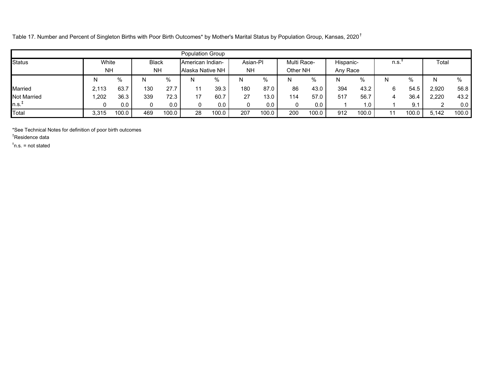Table 17. Number and Percent of Singleton Births with Poor Birth Outcomes\* by Mother's Marital Status by Population Group, Kansas, 2020†

|                    |                    |       |                           |       | <b>Population Group</b>              |       |                       |       |                         |       |                       |       |      |       |       |       |
|--------------------|--------------------|-------|---------------------------|-------|--------------------------------------|-------|-----------------------|-------|-------------------------|-------|-----------------------|-------|------|-------|-------|-------|
| <b>Status</b>      | White<br><b>NH</b> |       | <b>Black</b><br><b>NH</b> |       | American Indian-<br>Alaska Native NH |       | Asian-PI<br><b>NH</b> |       | Multi Race-<br>Other NH |       | Hispanic-<br>Any Race |       | n.s. |       | Total |       |
|                    |                    |       |                           |       |                                      |       |                       |       |                         |       |                       |       |      |       |       |       |
|                    |                    | %     | N                         | %     | N                                    | %     | N                     | %     | N                       | %     | Ν                     |       | N    | %     |       | %     |
| Married            | 2,113              | 63.7  | 130                       | 27.7  | 11                                   | 39.3  | 180                   | 87.0  | 86                      | 43.0  | 394                   | 43.2  | 6    | 54.5  | 2,920 | 56.8  |
| <b>Not Married</b> | ,202               | 36.3  | 339                       | 72.3  | 17                                   | 60.7  | 27                    | 13.0  | 114                     | 57.0  | 517                   | 56.7  | 4    | 36.4  | 2,220 | 43.2  |
| $n.s.+$            |                    | 0.0   | 0                         | 0.0   | 0                                    | 0.0   | 0                     | 0.0   |                         | 0.0   |                       | 1.0   |      | 9.1   | ົ     | 0.0   |
| Total              | 3.315              | 100.0 | 469                       | 100.0 | 28                                   | 100.0 | 207                   | 100.0 | 200                     | 100.0 | 912                   | 100.0 |      | 100.0 | 5,142 | 100.0 |

\*See Technical Notes for definition of poor birth outcomes

†Residence data

 $\text{*}$ n.s. = not stated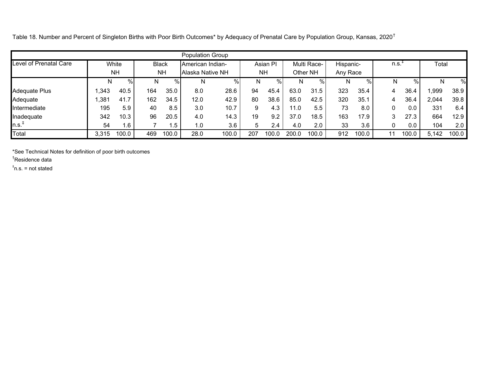Table 18. Number and Percent of Singleton Births with Poor Birth Outcomes\* by Adequacy of Prenatal Care by Population Group, Kansas, 2020<sup>†</sup>

|                                                |       |           |     |              | <b>Population Group</b> |       |     |           |       |             |           |       |          |       |       |       |
|------------------------------------------------|-------|-----------|-----|--------------|-------------------------|-------|-----|-----------|-------|-------------|-----------|-------|----------|-------|-------|-------|
| <b>Level of Prenatal Care</b>                  |       | White     |     | <b>Black</b> | American Indian-        |       |     | Asian PI  |       | Multi Race- | Hispanic- |       | $n.s.^*$ |       | Total |       |
|                                                |       | <b>NH</b> |     | <b>NH</b>    | Alaska Native NH        |       |     | <b>NH</b> |       | Other NH    | Any Race  |       |          |       |       |       |
|                                                |       | %         | N   | %            | N                       | %     | N   | %         | N     | $\%$        | N         | %     | N        | %     | N     | %     |
| Adequate Plus                                  | ,343  | 40.5      | 164 | 35.0         | 8.0                     | 28.6  | 94  | 45.4      | 63.0  | 31.5        | 323       | 35.4  | 4        | 36.4  | ,999  | 38.9  |
| Adequate                                       | ,381  | 41.7      | 162 | 34.5         | 12.0                    | 42.9  | 80  | 38.6      | 85.0  | 42.5        | 320       | 35.1  | 4        | 36.4  | 2,044 | 39.8  |
| Intermediate                                   | 195   | 5.9       | 40  | 8.5          | 3.0                     | 10.7  | 9   | 4.3       | 11.0  | 5.5         | 73        | 8.0   | 0        | 0.0   | 331   | 6.4   |
| Inadequate                                     | 342   | 10.3      | 96  | 20.5         | 4.0                     | 14.3  | 19  | 9.2       | 37.0  | 18.5        | 163       | 17.9  | 3        | 27.3  | 664   | 12.9  |
| $\mathsf{n.s.}^\mathsf{\scriptscriptstyle{T}}$ | 54    | 1.6       |     | . .5         | 1.0                     | 3.6   | 5   | 2.4       | 4.0   | 2.0         | 33        | 3.6   | 0        | 0.0   | 104   | 2.0   |
| Total                                          | 3,315 | 100.0     | 469 | 100.0        | 28.0                    | 100.0 | 207 | 100.0     | 200.0 | 100.0       | 912       | 100.0 | 11       | 100.0 | 5,142 | 100.0 |

\*See Technical Notes for definition of poor birth outcomes

†Residence data

 $\overline{a}$ n.s. = not stated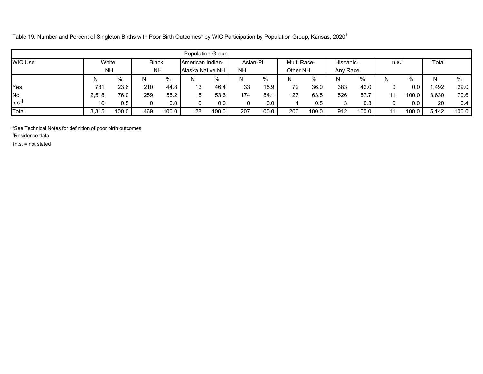Table 19. Number and Percent of Singleton Births with Poor Birth Outcomes\* by WIC Participation by Population Group, Kansas, 2020†

|         |           |       |              |                  | <b>Population Group</b> |           |          |          |             |          |           |       |      |       |              |       |
|---------|-----------|-------|--------------|------------------|-------------------------|-----------|----------|----------|-------------|----------|-----------|-------|------|-------|--------------|-------|
| WIC Use | White     |       | <b>Black</b> |                  | <b>American Indian-</b> |           | Asian-PI |          | Multi Race- |          | Hispanic- |       | n.s. |       | Total        |       |
|         | <b>NH</b> |       | <b>NH</b>    | Alaska Native NH |                         | <b>NH</b> |          | Other NH |             | Any Race |           |       |      |       |              |       |
|         | N         | %     | N            | %                | N                       | %         | N        | $\%$     | N           | %        |           | %     | N    |       |              | $\%$  |
| Yes     | 781       | 23.6  | 210          | 44.8             | 13                      | 46.4      | 33       | 15.9     | 72          | 36.0     | 383       | 42.0  | 0    | 0.0   | <b>1.492</b> | 29.0  |
| No      | 2.518     | 76.0  | 259          | 55.2             | 15                      | 53.6      | 174      | 84.      | 127         | 63.5     | 526       | 57.7  | 11   | 100.0 | 3.630        | 70.6  |
| $n.s.+$ | 16        | 0.5   | 0            | 0.0              |                         | 0.0       | 0        | 0.0      |             | 0.5      | 3         | 0.3   | 0    | 0.0   | 20           | 0.4   |
| Total   | 3,315     | 100.0 | 469          | 100.0            | 28                      | 100.0     | 207      | 100.0    | 200         | 100.0    | 912       | 100.0 | 11   | 100.0 | 5,142        | 100.0 |

\*See Technical Notes for definition of poor birth outcomes

†Residence data

‡n.s. = not stated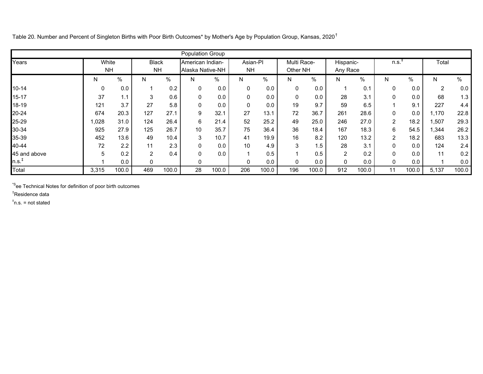Table 20. Number and Percent of Singleton Births with Poor Birth Outcomes\* by Mother's Age by Population Group, Kansas, 2020†

|                            |                    |       |                           |       | <b>Population Group</b>              |       |                       |       |                         |       |                       |       |                     |       |       |       |
|----------------------------|--------------------|-------|---------------------------|-------|--------------------------------------|-------|-----------------------|-------|-------------------------|-------|-----------------------|-------|---------------------|-------|-------|-------|
| Years                      | White<br><b>NH</b> |       | <b>Black</b><br><b>NH</b> |       | American Indian-<br>Alaska Native-NH |       | Asian-Pl<br><b>NH</b> |       | Multi Race-<br>Other NH |       | Hispanic-<br>Any Race |       | $n.s.$ <sup>4</sup> |       | Total |       |
|                            | N.                 | %     | N                         | %     | N                                    | %     | N                     | $\%$  | N                       | %     | N                     | $\%$  | N                   | $\%$  | N     | $\%$  |
| $10 - 14$                  | 0                  | 0.0   |                           | 0.2   | $\mathbf 0$                          | 0.0   | 0                     | 0.0   | 0                       | 0.0   |                       | 0.1   | 0                   | 0.0   | 2     | 0.0   |
| $15 - 17$                  | 37                 | 1.1   | 3                         | 0.6   | $\mathbf 0$                          | 0.0   | 0                     | 0.0   | 0                       | 0.0   | 28                    | 3.1   | 0                   | 0.0   | 68    | 1.3   |
| 18-19                      | 121                | 3.7   | 27                        | 5.8   | $\mathbf 0$                          | 0.0   | $\mathbf 0$           | 0.0   | 19                      | 9.7   | 59                    | 6.5   |                     | 9.1   | 227   | 4.4   |
| 20-24                      | 674                | 20.3  | 127                       | 27.1  | 9                                    | 32.1  | 27                    | 13.1  | 72                      | 36.7  | 261                   | 28.6  | 0                   | 0.0   | 1,170 | 22.8  |
| 25-29                      | 1,028              | 31.0  | 124                       | 26.4  | 6                                    | 21.4  | 52                    | 25.2  | 49                      | 25.0  | 246                   | 27.0  | $\overline{2}$      | 18.2  | 1,507 | 29.3  |
| 30-34                      | 925                | 27.9  | 125                       | 26.7  | 10                                   | 35.7  | 75                    | 36.4  | 36                      | 18.4  | 167                   | 18.3  | 6                   | 54.5  | 1,344 | 26.2  |
| 35-39                      | 452                | 13.6  | 49                        | 10.4  | 3                                    | 10.7  | 41                    | 19.9  | 16                      | 8.2   | 120                   | 13.2  | 2                   | 18.2  | 683   | 13.3  |
| 40-44                      | 72                 | 2.2   | 11                        | 2.3   | $\mathbf 0$                          | 0.0   | 10                    | 4.9   | 3                       | 1.5   | 28                    | 3.1   | 0                   | 0.0   | 124   | 2.4   |
| 45 and above               | 5                  | 0.2   | $\overline{2}$            | 0.4   | $\mathbf 0$                          | 0.0   |                       | 0.5   |                         | 0.5   | $\overline{2}$        | 0.2   | 0                   | 0.0   | 11    | 0.2   |
| າ. $\mathrm{s}$ . $^\ddag$ |                    | 0.0   |                           |       | $\mathbf 0$                          |       | 0                     | 0.0   | 0                       | 0.0   | 0                     | 0.0   | $\mathbf 0$         | 0.0   |       | 0.0   |
| Total                      | 3,315              | 100.0 | 469                       | 100.0 | 28                                   | 100.0 | 206                   | 100.0 | 196                     | 100.0 | 912                   | 100.0 | 11                  | 100.0 | 5,137 | 100.0 |

\*See Technical Notes for definition of poor birth outcomes

†Residence data

 $\text{*}$ n.s. = not stated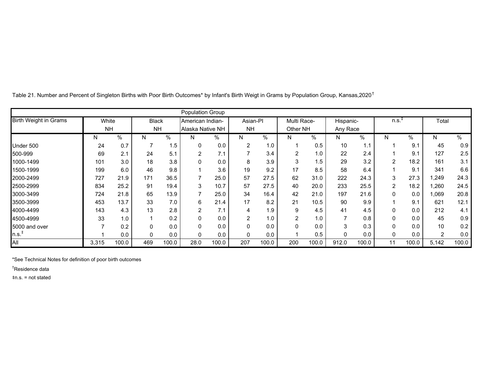|                              |       |           |              |       | <b>Population Group</b> |       |                |       |                          |       |                |       |                |       |                |       |
|------------------------------|-------|-----------|--------------|-------|-------------------------|-------|----------------|-------|--------------------------|-------|----------------|-------|----------------|-------|----------------|-------|
| <b>Birth Weight in Grams</b> | White |           | <b>Black</b> |       | American Indian-        |       | Asian-PI       |       | Multi Race-              |       | Hispanic-      |       | $n.s.+$        |       | Total          |       |
|                              |       | <b>NH</b> | <b>NH</b>    |       | Alaska Native NH        |       | <b>NH</b>      |       | Other NH                 |       | Any Race       |       |                |       |                |       |
|                              | N     | %         | N.           | $\%$  | N                       | %     | N.             | $\%$  | N                        | %     | N.             | %     | N              | %     | N              | %     |
| Under 500                    | 24    | 0.7       |              | 1.5   | 0                       | 0.0   | $\overline{2}$ | 1.0   | 1                        | 0.5   | 10             | 1.1   |                | 9.1   | 45             | 0.9   |
| 500-999                      | 69    | 2.1       | 24           | 5.1   | $\overline{2}$          | 7.1   |                | 3.4   | 2                        | 1.0   | 22             | 2.4   |                | 9.1   | 127            | 2.5   |
| 1000-1499                    | 101   | 3.0       | 18           | 3.8   | $\Omega$                | 0.0   | 8              | 3.9   | 3                        | 1.5   | 29             | 3.2   | $\overline{2}$ | 18.2  | 161            | 3.1   |
| 1500-1999                    | 199   | 6.0       | 46           | 9.8   |                         | 3.6   | 19             | 9.2   | 17                       | 8.5   | 58             | 6.4   |                | 9.1   | 341            | 6.6   |
| 2000-2499                    | 727   | 21.9      | 171          | 36.5  |                         | 25.0  | 57             | 27.5  | 62                       | 31.0  | 222            | 24.3  | 3              | 27.3  | 1,249          | 24.3  |
| 2500-2999                    | 834   | 25.2      | 91           | 19.4  | 3                       | 10.7  | 57             | 27.5  | 40                       | 20.0  | 233            | 25.5  | $\overline{c}$ | 18.2  | 1,260          | 24.5  |
| 3000-3499                    | 724   | 21.8      | 65           | 13.9  | 7                       | 25.0  | 34             | 16.4  | 42                       | 21.0  | 197            | 21.6  | 0              | 0.0   | 069            | 20.8  |
| 3500-3999                    | 453   | 13.7      | 33           | 7.0   | 6                       | 21.4  | 17             | 8.2   | 21                       | 10.5  | 90             | 9.9   |                | 9.1   | 621            | 12.1  |
| 4000-4499                    | 143   | 4.3       | 13           | 2.8   | $\overline{2}$          | 7.1   | 4              | 1.9   | 9                        | 4.5   | 41             | 4.5   | 0              | 0.0   | 212            | 4.1   |
| 4500-4999                    | 33    | 1.0       |              | 0.2   |                         | 0.0   | 2              | 1.0   | $\overline{c}$           | 1.0   | $\overline{ }$ | 0.8   | 0              | 0.0   | 45             | 0.9   |
| 5000 and over                |       | 0.2       | $\Omega$     | 0.0   | $\Omega$                | 0.0   | $\mathbf 0$    | 0.0   | $\mathbf{0}$             | 0.0   | 3              | 0.3   | 0              | 0.0   | 10             | 0.2   |
| $\ln.s.^{\ddagger}$          |       | 0.0       | $\Omega$     | 0.0   | $\Omega$                | 0.0   | $\mathbf 0$    | 0.0   | $\overline{\phantom{a}}$ | 0.5   | 0              | 0.0   | 0              | 0.0   | $\overline{2}$ | 0.0   |
| All                          | 3,315 | 100.0     | 469          | 100.0 | 28.0                    | 100.0 | 207            | 100.0 | 200                      | 100.0 | 912.0          | 100.0 | 11             | 100.0 | 5,142          | 100.0 |

Table 21. Number and Percent of Singleton Births with Poor Birth Outcomes\* by Infant's Birth Weigt in Grams by Population Group, Kansas,2020<sup>†</sup>

\*See Technical Notes for definition of poor birth outcomes

†Residence data

‡n.s. = not stated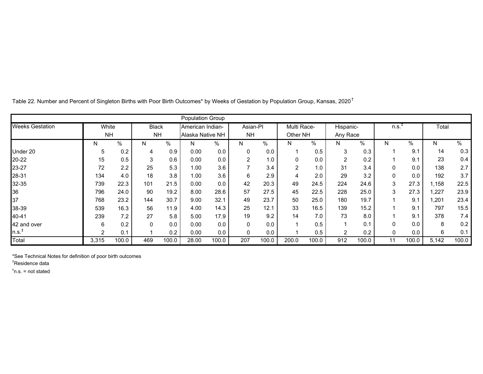| <b>Population Group</b> |                    |       |                           |       |                                      |       |                 |       |                         |       |                       |       |          |       |       |       |
|-------------------------|--------------------|-------|---------------------------|-------|--------------------------------------|-------|-----------------|-------|-------------------------|-------|-----------------------|-------|----------|-------|-------|-------|
| <b>Weeks Gestation</b>  | White<br><b>NH</b> |       | <b>Black</b><br><b>NH</b> |       | American Indian-<br>Alaska Native NH |       | Asian-Pl<br>NH. |       | Multi Race-<br>Other NH |       | Hispanic-<br>Any Race |       | $n.s.+$  |       | Total |       |
|                         |                    |       |                           |       |                                      |       |                 |       |                         |       |                       |       |          |       |       |       |
|                         | N.                 | %     | N                         | $\%$  | N                                    | %     | N               | $\%$  | N                       | %     | N                     | %     | N        | %     | N     | %     |
| Under 20                | 5                  | 0.2   | 4                         | 0.9   | 0.00                                 | 0.0   | 0               | 0.0   |                         | 0.5   | 3                     | 0.3   |          | 9.1   | 14    | 0.3   |
| 20-22                   | 15                 | 0.5   | 3                         | 0.6   | 0.00                                 | 0.0   | 2               | 1.0   | 0                       | 0.0   | $\overline{c}$        | 0.2   |          | 9.1   | 23    | 0.4   |
| 23-27                   | 72                 | 2.2   | 25                        | 5.3   | 1.00                                 | 3.6   | $\overline{7}$  | 3.4   | $\overline{2}$          | 1.0   | 31                    | 3.4   | 0        | 0.0   | 138   | 2.7   |
| 28-31                   | 134                | 4.0   | 18                        | 3.8   | 1.00                                 | 3.6   | 6               | 2.9   | 4                       | 2.0   | 29                    | 3.2   | $\Omega$ | 0.0   | 192   | 3.7   |
| 32-35                   | 739                | 22.3  | 101                       | 21.5  | 0.00                                 | 0.0   | 42              | 20.3  | 49                      | 24.5  | 224                   | 24.6  | 3        | 27.3  | .158  | 22.5  |
| 36                      | 796                | 24.0  | 90                        | 19.2  | 8.00                                 | 28.6  | 57              | 27.5  | 45                      | 22.5  | 228                   | 25.0  | 3        | 27.3  | ,227  | 23.9  |
| 37                      | 768                | 23.2  | 144                       | 30.7  | 9.00                                 | 32.1  | 49              | 23.7  | 50                      | 25.0  | 180                   | 19.7  |          | 9.1   | ,201  | 23.4  |
| 38-39                   | 539                | 16.3  | 56                        | 11.9  | 4.00                                 | 14.3  | 25              | 12.1  | 33                      | 16.5  | 139                   | 15.2  |          | 9.1   | 797   | 15.5  |
| 40-41                   | 239                | 7.2   | 27                        | 5.8   | 5.00                                 | 17.9  | 19              | 9.2   | 14                      | 7.0   | 73                    | 8.0   |          | 9.1   | 378   | 7.4   |
| 42 and over             | 6                  | 0.2   | $\Omega$                  | 0.0   | 0.00                                 | 0.0   | 0               | 0.0   |                         | 0.5   | $\overline{1}$        | 0.1   | 0        | 0.0   | 8     | 0.2   |
| $n.s.+$                 | $\overline{2}$     | 0.1   |                           | 0.2   | 0.00                                 | 0.0   | 0               | 0.0   |                         | 0.5   | $\overline{a}$        | 0.2   | 0        | 0.0   | 6     | 0.1   |
| Total                   | 3,315              | 100.0 | 469                       | 100.0 | 28.00                                | 100.0 | 207             | 100.0 | 200.0                   | 100.0 | 912                   | 100.0 | 11       | 100.0 | 5,142 | 100.0 |

Table 22. Number and Percent of Singleton Births with Poor Birth Outcomes\* by Weeks of Gestation by Population Group, Kansas, 2020<sup>†</sup>

\*See Technical Notes for definition of poor birth outcomes

†Residence data

 $\textsuperscript{*}$ n.s. = not stated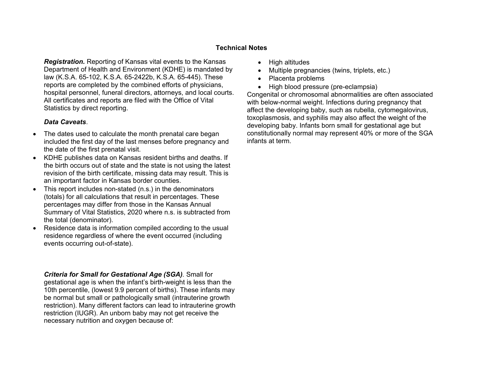## **Technical Notes**

*Registration.* Reporting of Kansas vital events to the Kansas Department of Health and Environment (KDHE) is mandated by law (K.S.A. 65-102, K.S.A. 65-2422b, K.S.A. 65-445). These reports are completed by the combined efforts of physicians, hospital personnel, funeral directors, attorneys, and local courts. All certificates and reports are filed with the Office of Vital Statistics by direct reporting.

## *Data Caveats*.

- 0 The dates used to calculate the month prenatal care began included the first day of the last menses before pregnancy and the date of the first prenatal visit.
- KDHE publishes data on Kansas resident births and deaths. If the birth occurs out of state and the state is not using the latest revision of the birth certificate, missing data may result. This is an important factor in Kansas border counties.
- This report includes non-stated (n.s.) in the denominators (totals) for all calculations that result in percentages. These percentages may differ from those in the Kansas Annual Summary of Vital Statistics, 2020 where n.s. is subtracted from the total (denominator).
- Residence data is information compiled according to the usual residence regardless of where the event occurred (including events occurring out-of-state).

*Criteria for Small for Gestational Age (SGA).* Small for gestational age is when the infant's birth-weight is less than the 10th percentile, (lowest 9.9 percent of births). These infants may be normal but small or pathologically small (intrauterine growth restriction). Many different factors can lead to intrauterine growth restriction (IUGR). An unborn baby may not get receive the necessary nutrition and oxygen because of:

- High altitudes
- 0 Multiple pregnancies (twins, triplets, etc.)
- $\bullet$ Placenta problems
- High blood pressure (pre-eclampsia)

Congenital or chromosomal abnormalities are often associated with below-normal weight. Infections during pregnancy that affect the developing baby, such as rubella, cytomegalovirus, toxoplasmosis, and syphilis may also affect the weight of the developing baby. Infants born small for gestational age but constitutionally normal may represent 40% or more of the SGA infants at term.